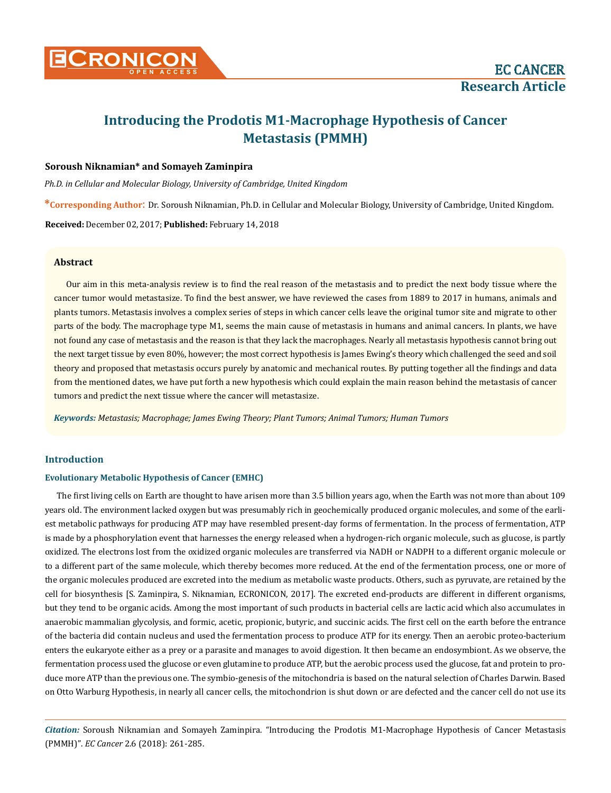

# **Introducing the Prodotis M1-Macrophage Hypothesis of Cancer Metastasis (PMMH)**

# **Soroush Niknamian\* and Somayeh Zaminpira**

*Ph.D. in Cellular and Molecular Biology, University of Cambridge, United Kingdom* 

**\*Corresponding Author**: Dr. Soroush Niknamian, Ph.D. in Cellular and Molecular Biology, University of Cambridge, United Kingdom.

**Received:** December 02, 2017; **Published:** February 14, 2018

# **Abstract**

Our aim in this meta-analysis review is to find the real reason of the metastasis and to predict the next body tissue where the cancer tumor would metastasize. To find the best answer, we have reviewed the cases from 1889 to 2017 in humans, animals and plants tumors. Metastasis involves a complex series of steps in which cancer cells leave the original tumor site and migrate to other parts of the body. The macrophage type M1, seems the main cause of metastasis in humans and animal cancers. In plants, we have not found any case of metastasis and the reason is that they lack the macrophages. Nearly all metastasis hypothesis cannot bring out the next target tissue by even 80%, however; the most correct hypothesis is James Ewing's theory which challenged the seed and soil theory and proposed that metastasis occurs purely by anatomic and mechanical routes. By putting together all the findings and data from the mentioned dates, we have put forth a new hypothesis which could explain the main reason behind the metastasis of cancer tumors and predict the next tissue where the cancer will metastasize.

*Keywords: Metastasis; Macrophage; James Ewing Theory; Plant Tumors; Animal Tumors; Human Tumors*

# **Introduction**

# **Evolutionary Metabolic Hypothesis of Cancer (EMHC)**

The first living cells on Earth are thought to have arisen more than 3.5 billion years ago, when the Earth was not more than about 109 years old. The environment lacked oxygen but was presumably rich in geochemically produced organic molecules, and some of the earliest metabolic pathways for producing ATP may have resembled present-day forms of fermentation. In the process of fermentation, ATP is made by a phosphorylation event that harnesses the energy released when a hydrogen-rich organic molecule, such as glucose, is partly oxidized. The electrons lost from the oxidized organic molecules are transferred via NADH or NADPH to a different organic molecule or to a different part of the same molecule, which thereby becomes more reduced. At the end of the fermentation process, one or more of the organic molecules produced are excreted into the medium as metabolic waste products. Others, such as pyruvate, are retained by the cell for biosynthesis [S. Zaminpira, S. Niknamian, ECRONICON, 2017]. The excreted end-products are different in different organisms, but they tend to be organic acids. Among the most important of such products in bacterial cells are lactic acid which also accumulates in anaerobic mammalian glycolysis, and formic, acetic, propionic, butyric, and succinic acids. The first cell on the earth before the entrance of the bacteria did contain nucleus and used the fermentation process to produce ATP for its energy. Then an aerobic proteo-bacterium enters the eukaryote either as a prey or a parasite and manages to avoid digestion. It then became an endosymbiont. As we observe, the fermentation process used the glucose or even glutamine to produce ATP, but the aerobic process used the glucose, fat and protein to produce more ATP than the previous one. The symbio-genesis of the mitochondria is based on the natural selection of Charles Darwin. Based on Otto Warburg Hypothesis, in nearly all cancer cells, the mitochondrion is shut down or are defected and the cancer cell do not use its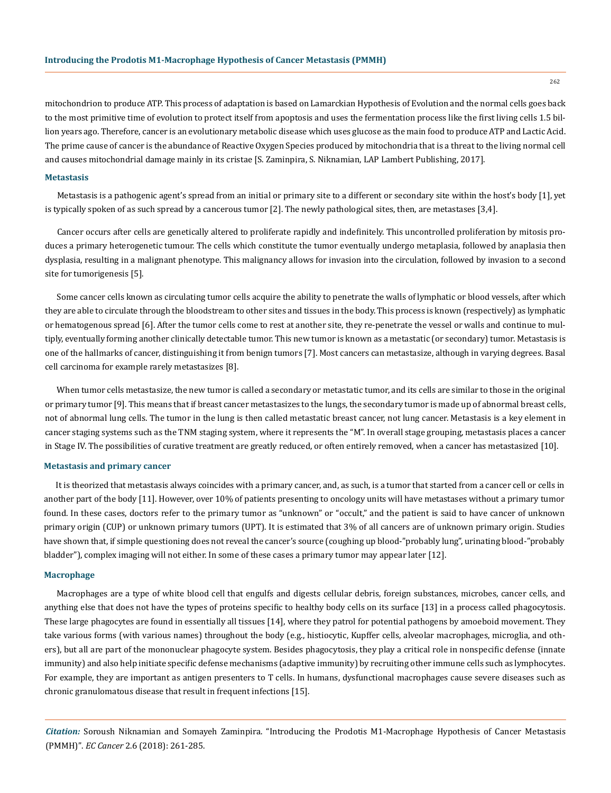mitochondrion to produce ATP. This process of adaptation is based on Lamarckian Hypothesis of Evolution and the normal cells goes back to the most primitive time of evolution to protect itself from apoptosis and uses the fermentation process like the first living cells 1.5 billion years ago. Therefore, cancer is an evolutionary metabolic disease which uses glucose as the main food to produce ATP and Lactic Acid. The prime cause of cancer is the abundance of Reactive Oxygen Species produced by mitochondria that is a threat to the living normal cell and causes mitochondrial damage mainly in its cristae [S. Zaminpira, S. Niknamian, LAP Lambert Publishing, 2017].

# **Metastasis**

Metastasis is a pathogenic agent's spread from an initial or primary site to a different or secondary site within the host's body [1], yet is typically spoken of as such spread by a cancerous tumor [2]. The newly pathological sites, then, are metastases [3,4].

Cancer occurs after cells are genetically altered to proliferate rapidly and indefinitely. This uncontrolled proliferation by mitosis produces a primary heterogenetic tumour. The cells which constitute the tumor eventually undergo metaplasia, followed by anaplasia then dysplasia, resulting in a malignant phenotype. This malignancy allows for invasion into the circulation, followed by invasion to a second site for tumorigenesis [5].

Some cancer cells known as circulating tumor cells acquire the ability to penetrate the walls of lymphatic or blood vessels, after which they are able to circulate through the bloodstream to other sites and tissues in the body. This process is known (respectively) as lymphatic or hematogenous spread [6]. After the tumor cells come to rest at another site, they re-penetrate the vessel or walls and continue to multiply, eventually forming another clinically detectable tumor. This new tumor is known as a metastatic (or secondary) tumor. Metastasis is one of the hallmarks of cancer, distinguishing it from benign tumors [7]. Most cancers can metastasize, although in varying degrees. Basal cell carcinoma for example rarely metastasizes [8].

When tumor cells metastasize, the new tumor is called a secondary or metastatic tumor, and its cells are similar to those in the original or primary tumor [9]. This means that if breast cancer metastasizes to the lungs, the secondary tumor is made up of abnormal breast cells, not of abnormal lung cells. The tumor in the lung is then called metastatic breast cancer, not lung cancer. Metastasis is a key element in cancer staging systems such as the TNM staging system, where it represents the "M". In overall stage grouping, metastasis places a cancer in Stage IV. The possibilities of curative treatment are greatly reduced, or often entirely removed, when a cancer has metastasized [10].

### **Metastasis and primary cancer**

It is theorized that metastasis always coincides with a primary cancer, and, as such, is a tumor that started from a cancer cell or cells in another part of the body [11]. However, over 10% of patients presenting to oncology units will have metastases without a primary tumor found. In these cases, doctors refer to the primary tumor as "unknown" or "occult," and the patient is said to have cancer of unknown primary origin (CUP) or unknown primary tumors (UPT). It is estimated that 3% of all cancers are of unknown primary origin. Studies have shown that, if simple questioning does not reveal the cancer's source (coughing up blood-"probably lung", urinating blood-"probably bladder"), complex imaging will not either. In some of these cases a primary tumor may appear later [12].

### **Macrophage**

Macrophages are a type of white blood cell that engulfs and digests cellular debris, foreign substances, microbes, cancer cells, and anything else that does not have the types of proteins specific to healthy body cells on its surface [13] in a process called phagocytosis. These large phagocytes are found in essentially all tissues [14], where they patrol for potential pathogens by amoeboid movement. They take various forms (with various names) throughout the body (e.g., histiocytic, Kupffer cells, alveolar macrophages, microglia, and others), but all are part of the mononuclear phagocyte system. Besides phagocytosis, they play a critical role in nonspecific defense (innate immunity) and also help initiate specific defense mechanisms (adaptive immunity) by recruiting other immune cells such as lymphocytes. For example, they are important as antigen presenters to T cells. In humans, dysfunctional macrophages cause severe diseases such as chronic granulomatous disease that result in frequent infections [15].

*Citation:* Soroush Niknamian and Somayeh Zaminpira. "Introducing the Prodotis M1-Macrophage Hypothesis of Cancer Metastasis (PMMH)". *EC Cancer* 2.6 (2018): 261-285.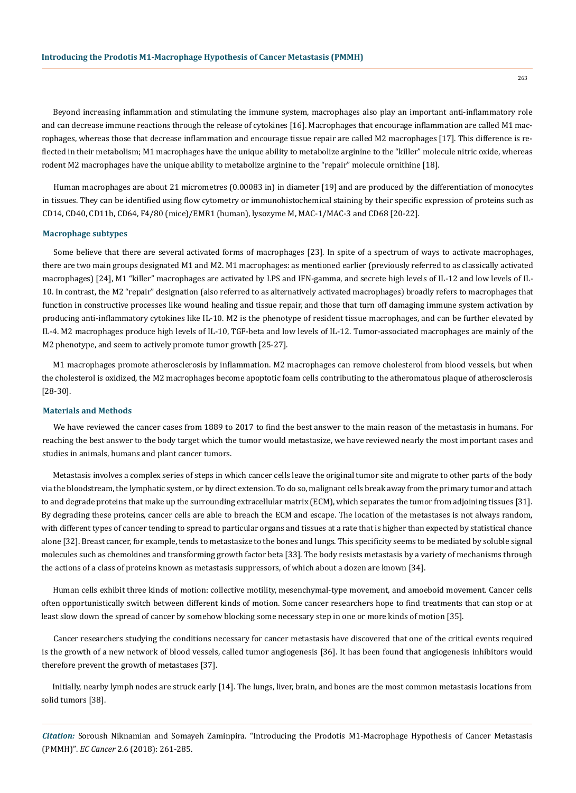Beyond increasing inflammation and stimulating the immune system, macrophages also play an important anti-inflammatory role and can decrease immune reactions through the release of cytokines [16]. Macrophages that encourage inflammation are called M1 macrophages, whereas those that decrease inflammation and encourage tissue repair are called M2 macrophages [17]. This difference is reflected in their metabolism; M1 macrophages have the unique ability to metabolize arginine to the "killer" molecule nitric oxide, whereas rodent M2 macrophages have the unique ability to metabolize arginine to the "repair" molecule ornithine [18].

Human macrophages are about 21 micrometres (0.00083 in) in diameter [19] and are produced by the differentiation of monocytes in tissues. They can be identified using flow cytometry or immunohistochemical staining by their specific expression of proteins such as CD14, CD40, CD11b, CD64, F4/80 (mice)/EMR1 (human), lysozyme M, MAC-1/MAC-3 and CD68 [20-22].

#### **Macrophage subtypes**

Some believe that there are several activated forms of macrophages [23]. In spite of a spectrum of ways to activate macrophages, there are two main groups designated M1 and M2. M1 macrophages: as mentioned earlier (previously referred to as classically activated macrophages) [24], M1 "killer" macrophages are activated by LPS and IFN-gamma, and secrete high levels of IL-12 and low levels of IL-10. In contrast, the M2 "repair" designation (also referred to as alternatively activated macrophages) broadly refers to macrophages that function in constructive processes like wound healing and tissue repair, and those that turn off damaging immune system activation by producing anti-inflammatory cytokines like IL-10. M2 is the phenotype of resident tissue macrophages, and can be further elevated by IL-4. M2 macrophages produce high levels of IL-10, TGF-beta and low levels of IL-12. Tumor-associated macrophages are mainly of the M2 phenotype, and seem to actively promote tumor growth [25-27].

M1 macrophages promote atherosclerosis by inflammation. M2 macrophages can remove cholesterol from blood vessels, but when the cholesterol is oxidized, the M2 macrophages become apoptotic foam cells contributing to the atheromatous plaque of atherosclerosis [28-30].

# **Materials and Methods**

We have reviewed the cancer cases from 1889 to 2017 to find the best answer to the main reason of the metastasis in humans. For reaching the best answer to the body target which the tumor would metastasize, we have reviewed nearly the most important cases and studies in animals, humans and plant cancer tumors.

Metastasis involves a complex series of steps in which cancer cells leave the original tumor site and migrate to other parts of the body via the bloodstream, the lymphatic system, or by direct extension. To do so, malignant cells break away from the primary tumor and attach to and degrade proteins that make up the surrounding extracellular matrix (ECM), which separates the tumor from adjoining tissues [31]. By degrading these proteins, cancer cells are able to breach the ECM and escape. The location of the metastases is not always random, with different types of cancer tending to spread to particular organs and tissues at a rate that is higher than expected by statistical chance alone [32]. Breast cancer, for example, tends to metastasize to the bones and lungs. This specificity seems to be mediated by soluble signal molecules such as chemokines and transforming growth factor beta [33]. The body resists metastasis by a variety of mechanisms through the actions of a class of proteins known as metastasis suppressors, of which about a dozen are known [34].

Human cells exhibit three kinds of motion: collective motility, mesenchymal-type movement, and amoeboid movement. Cancer cells often opportunistically switch between different kinds of motion. Some cancer researchers hope to find treatments that can stop or at least slow down the spread of cancer by somehow blocking some necessary step in one or more kinds of motion [35].

Cancer researchers studying the conditions necessary for cancer metastasis have discovered that one of the critical events required is the growth of a new network of blood vessels, called tumor angiogenesis [36]. It has been found that angiogenesis inhibitors would therefore prevent the growth of metastases [37].

Initially, nearby lymph nodes are struck early [14]. The lungs, liver, brain, and bones are the most common metastasis locations from solid tumors [38].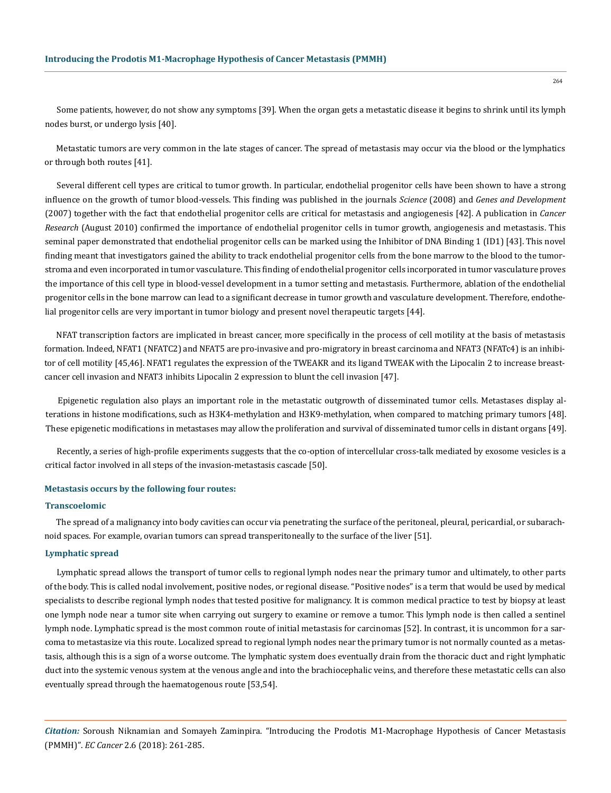Some patients, however, do not show any symptoms [39]. When the organ gets a metastatic disease it begins to shrink until its lymph nodes burst, or undergo lysis [40].

Metastatic tumors are very common in the late stages of cancer. The spread of metastasis may occur via the blood or the lymphatics or through both routes [41].

Several different cell types are critical to tumor growth. In particular, endothelial progenitor cells have been shown to have a strong influence on the growth of tumor blood-vessels. This finding was published in the journals *Science* (2008) and *Genes and Development*  (2007) together with the fact that endothelial progenitor cells are critical for metastasis and angiogenesis [42]. A publication in *Cancer Research* (August 2010) confirmed the importance of endothelial progenitor cells in tumor growth, angiogenesis and metastasis. This seminal paper demonstrated that endothelial progenitor cells can be marked using the Inhibitor of DNA Binding 1 (ID1) [43]. This novel finding meant that investigators gained the ability to track endothelial progenitor cells from the bone marrow to the blood to the tumorstroma and even incorporated in tumor vasculature. This finding of endothelial progenitor cells incorporated in tumor vasculature proves the importance of this cell type in blood-vessel development in a tumor setting and metastasis. Furthermore, ablation of the endothelial progenitor cells in the bone marrow can lead to a significant decrease in tumor growth and vasculature development. Therefore, endothelial progenitor cells are very important in tumor biology and present novel therapeutic targets [44].

NFAT transcription factors are implicated in breast cancer, more specifically in the process of cell motility at the basis of metastasis formation. Indeed, NFAT1 (NFATC2) and NFAT5 are pro-invasive and pro-migratory in breast carcinoma and NFAT3 (NFATc4) is an inhibitor of cell motility [45,46]. NFAT1 regulates the expression of the TWEAKR and its ligand TWEAK with the Lipocalin 2 to increase breastcancer cell invasion and NFAT3 inhibits Lipocalin 2 expression to blunt the cell invasion [47].

Epigenetic regulation also plays an important role in the metastatic outgrowth of disseminated tumor cells. Metastases display alterations in histone modifications, such as H3K4-methylation and H3K9-methylation, when compared to matching primary tumors [48]. These epigenetic modifications in metastases may allow the proliferation and survival of disseminated tumor cells in distant organs [49].

Recently, a series of high-profile experiments suggests that the co-option of intercellular cross-talk mediated by exosome vesicles is a critical factor involved in all steps of the invasion-metastasis cascade [50].

#### **Metastasis occurs by the following four routes:**

#### **Transcoelomic**

The spread of a malignancy into body cavities can occur via penetrating the surface of the peritoneal, pleural, pericardial, or subarachnoid spaces. For example, ovarian tumors can spread transperitoneally to the surface of the liver [51].

# **Lymphatic spread**

Lymphatic spread allows the transport of tumor cells to regional lymph nodes near the primary tumor and ultimately, to other parts of the body. This is called nodal involvement, positive nodes, or regional disease. "Positive nodes" is a term that would be used by medical specialists to describe regional lymph nodes that tested positive for malignancy. It is common medical practice to test by biopsy at least one lymph node near a tumor site when carrying out surgery to examine or remove a tumor. This lymph node is then called a sentinel lymph node. Lymphatic spread is the most common route of initial metastasis for carcinomas [52]. In contrast, it is uncommon for a sarcoma to metastasize via this route. Localized spread to regional lymph nodes near the primary tumor is not normally counted as a metastasis, although this is a sign of a worse outcome. The lymphatic system does eventually drain from the thoracic duct and right lymphatic duct into the systemic venous system at the venous angle and into the brachiocephalic veins, and therefore these metastatic cells can also eventually spread through the haematogenous route [53,54].

*Citation:* Soroush Niknamian and Somayeh Zaminpira. "Introducing the Prodotis M1-Macrophage Hypothesis of Cancer Metastasis (PMMH)". *EC Cancer* 2.6 (2018): 261-285.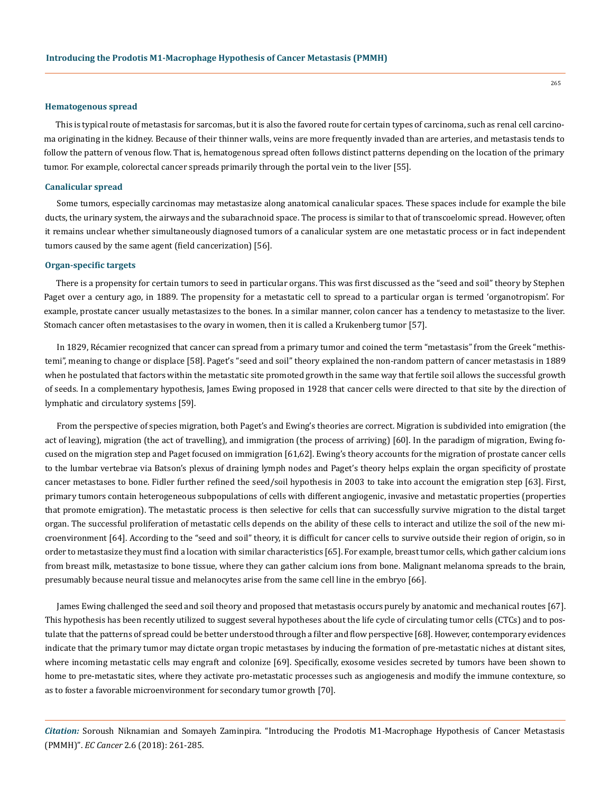#### **Hematogenous spread**

This is typical route of metastasis for sarcomas, but it is also the favored route for certain types of carcinoma, such as renal cell carcinoma originating in the kidney. Because of their thinner walls, veins are more frequently invaded than are arteries, and metastasis tends to follow the pattern of venous flow. That is, hematogenous spread often follows distinct patterns depending on the location of the primary tumor. For example, colorectal cancer spreads primarily through the portal vein to the liver [55].

### **Canalicular spread**

Some tumors, especially carcinomas may metastasize along anatomical canalicular spaces. These spaces include for example the bile ducts, the urinary system, the airways and the subarachnoid space. The process is similar to that of transcoelomic spread. However, often it remains unclear whether simultaneously diagnosed tumors of a canalicular system are one metastatic process or in fact independent tumors caused by the same agent (field cancerization) [56].

# **Organ-specific targets**

There is a propensity for certain tumors to seed in particular organs. This was first discussed as the "seed and soil" theory by Stephen Paget over a century ago, in 1889. The propensity for a metastatic cell to spread to a particular organ is termed 'organotropism'. For example, prostate cancer usually metastasizes to the bones. In a similar manner, colon cancer has a tendency to metastasize to the liver. Stomach cancer often metastasises to the ovary in women, then it is called a Krukenberg tumor [57].

In 1829, Récamier recognized that cancer can spread from a primary tumor and coined the term "metastasis" from the Greek "methistemi", meaning to change or displace [58]. Paget's "seed and soil" theory explained the non-random pattern of cancer metastasis in 1889 when he postulated that factors within the metastatic site promoted growth in the same way that fertile soil allows the successful growth of seeds. In a complementary hypothesis, James Ewing proposed in 1928 that cancer cells were directed to that site by the direction of lymphatic and circulatory systems [59].

From the perspective of species migration, both Paget's and Ewing's theories are correct. Migration is subdivided into emigration (the act of leaving), migration (the act of travelling), and immigration (the process of arriving) [60]. In the paradigm of migration, Ewing focused on the migration step and Paget focused on immigration [61,62]. Ewing's theory accounts for the migration of prostate cancer cells to the lumbar vertebrae via Batson's plexus of draining lymph nodes and Paget's theory helps explain the organ specificity of prostate cancer metastases to bone. Fidler further refined the seed/soil hypothesis in 2003 to take into account the emigration step [63]. First, primary tumors contain heterogeneous subpopulations of cells with different angiogenic, invasive and metastatic properties (properties that promote emigration). The metastatic process is then selective for cells that can successfully survive migration to the distal target organ. The successful proliferation of metastatic cells depends on the ability of these cells to interact and utilize the soil of the new microenvironment [64]. According to the "seed and soil" theory, it is difficult for cancer cells to survive outside their region of origin, so in order to metastasize they must find a location with similar characteristics [65]. For example, breast tumor cells, which gather calcium ions from breast milk, metastasize to bone tissue, where they can gather calcium ions from bone. Malignant melanoma spreads to the brain, presumably because neural tissue and melanocytes arise from the same cell line in the embryo [66].

James Ewing challenged the seed and soil theory and proposed that metastasis occurs purely by anatomic and mechanical routes [67]. This hypothesis has been recently utilized to suggest several hypotheses about the life cycle of circulating tumor cells (CTCs) and to postulate that the patterns of spread could be better understood through a filter and flow perspective [68]. However, contemporary evidences indicate that the primary tumor may dictate organ tropic metastases by inducing the formation of pre-metastatic niches at distant sites, where incoming metastatic cells may engraft and colonize [69]. Specifically, exosome vesicles secreted by tumors have been shown to home to pre-metastatic sites, where they activate pro-metastatic processes such as angiogenesis and modify the immune contexture, so as to foster a favorable microenvironment for secondary tumor growth [70].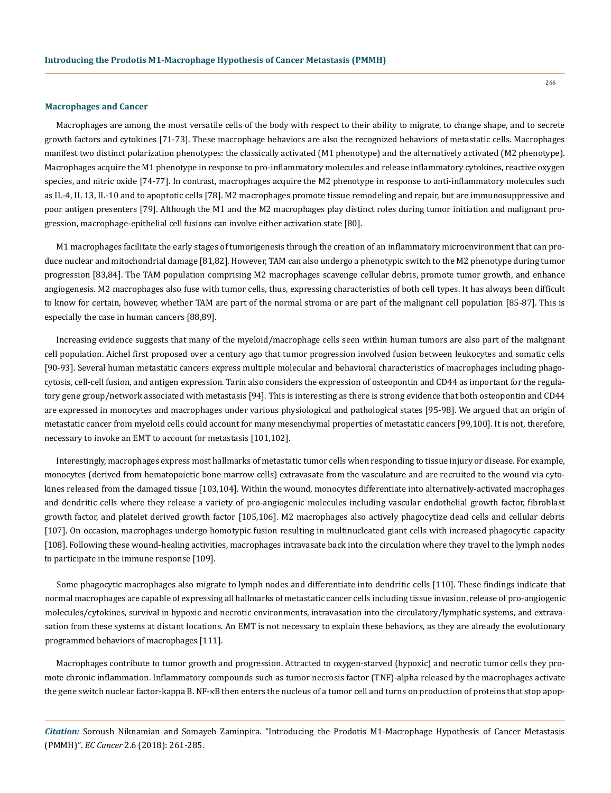#### **Macrophages and Cancer**

Macrophages are among the most versatile cells of the body with respect to their ability to migrate, to change shape, and to secrete growth factors and cytokines [71-73]. These macrophage behaviors are also the recognized behaviors of metastatic cells. Macrophages manifest two distinct polarization phenotypes: the classically activated (M1 phenotype) and the alternatively activated (M2 phenotype). Macrophages acquire the M1 phenotype in response to pro-inflammatory molecules and release inflammatory cytokines, reactive oxygen species, and nitric oxide [74-77]. In contrast, macrophages acquire the M2 phenotype in response to anti-inflammatory molecules such as IL-4, IL 13, IL-10 and to apoptotic cells [78]. M2 macrophages promote tissue remodeling and repair, but are immunosuppressive and poor antigen presenters [79]. Although the M1 and the M2 macrophages play distinct roles during tumor initiation and malignant progression, macrophage-epithelial cell fusions can involve either activation state [80].

M1 macrophages facilitate the early stages of tumorigenesis through the creation of an inflammatory microenvironment that can produce nuclear and mitochondrial damage [81,82]. However, TAM can also undergo a phenotypic switch to the M2 phenotype during tumor progression [83,84]. The TAM population comprising M2 macrophages scavenge cellular debris, promote tumor growth, and enhance angiogenesis. M2 macrophages also fuse with tumor cells, thus, expressing characteristics of both cell types. It has always been difficult to know for certain, however, whether TAM are part of the normal stroma or are part of the malignant cell population [85-87]. This is especially the case in human cancers [88,89].

Increasing evidence suggests that many of the myeloid/macrophage cells seen within human tumors are also part of the malignant cell population. Aichel first proposed over a century ago that tumor progression involved fusion between leukocytes and somatic cells [90-93]. Several human metastatic cancers express multiple molecular and behavioral characteristics of macrophages including phagocytosis, cell-cell fusion, and antigen expression. Tarin also considers the expression of osteopontin and CD44 as important for the regulatory gene group/network associated with metastasis [94]. This is interesting as there is strong evidence that both osteopontin and CD44 are expressed in monocytes and macrophages under various physiological and pathological states [95-98]. We argued that an origin of metastatic cancer from myeloid cells could account for many mesenchymal properties of metastatic cancers [99,100]. It is not, therefore, necessary to invoke an EMT to account for metastasis [101,102].

Interestingly, macrophages express most hallmarks of metastatic tumor cells when responding to tissue injury or disease. For example, monocytes (derived from hematopoietic bone marrow cells) extravasate from the vasculature and are recruited to the wound via cytokines released from the damaged tissue [103,104]. Within the wound, monocytes differentiate into alternatively-activated macrophages and dendritic cells where they release a variety of pro-angiogenic molecules including vascular endothelial growth factor, fibroblast growth factor, and platelet derived growth factor [105,106]. M2 macrophages also actively phagocytize dead cells and cellular debris [107]. On occasion, macrophages undergo homotypic fusion resulting in multinucleated giant cells with increased phagocytic capacity [108]. Following these wound-healing activities, macrophages intravasate back into the circulation where they travel to the lymph nodes to participate in the immune response [109].

Some phagocytic macrophages also migrate to lymph nodes and differentiate into dendritic cells [110]. These findings indicate that normal macrophages are capable of expressing all hallmarks of metastatic cancer cells including tissue invasion, release of pro-angiogenic molecules/cytokines, survival in hypoxic and necrotic environments, intravasation into the circulatory/lymphatic systems, and extravasation from these systems at distant locations. An EMT is not necessary to explain these behaviors, as they are already the evolutionary programmed behaviors of macrophages [111].

Macrophages contribute to tumor growth and progression. Attracted to oxygen-starved (hypoxic) and necrotic tumor cells they promote chronic inflammation. Inflammatory compounds such as tumor necrosis factor (TNF)-alpha released by the macrophages activate the gene switch nuclear factor-kappa B. NF-κB then enters the nucleus of a tumor cell and turns on production of proteins that stop apop-

*Citation:* Soroush Niknamian and Somayeh Zaminpira. "Introducing the Prodotis M1-Macrophage Hypothesis of Cancer Metastasis (PMMH)". *EC Cancer* 2.6 (2018): 261-285.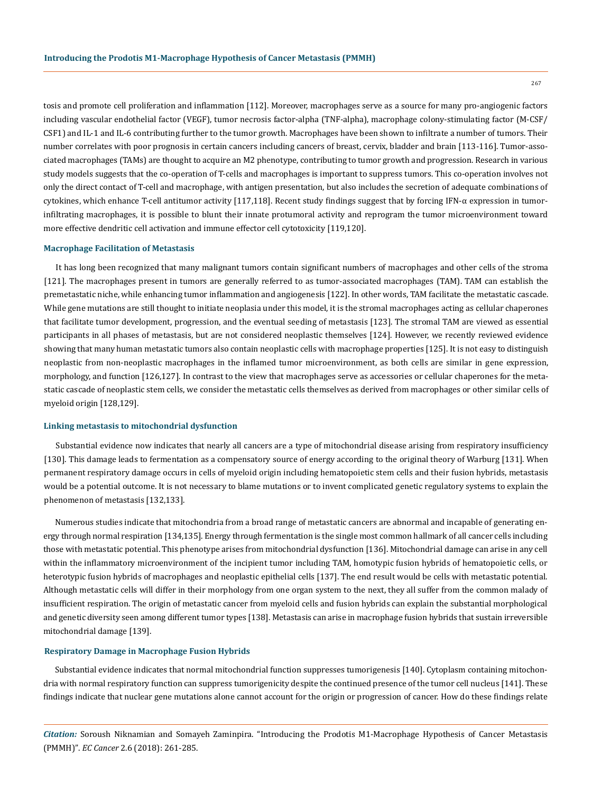267

tosis and promote cell proliferation and inflammation [112]. Moreover, macrophages serve as a source for many pro-angiogenic factors including vascular endothelial factor (VEGF), tumor necrosis factor-alpha (TNF-alpha), macrophage colony-stimulating factor (M-CSF/ CSF1) and IL-1 and IL-6 contributing further to the tumor growth. Macrophages have been shown to infiltrate a number of tumors. Their number correlates with poor prognosis in certain cancers including cancers of breast, cervix, bladder and brain [113-116]. Tumor-associated macrophages (TAMs) are thought to acquire an M2 phenotype, contributing to tumor growth and progression. Research in various study models suggests that the co-operation of T-cells and macrophages is important to suppress tumors. This co-operation involves not only the direct contact of T-cell and macrophage, with antigen presentation, but also includes the secretion of adequate combinations of cytokines, which enhance T-cell antitumor activity [117,118]. Recent study findings suggest that by forcing IFN-α expression in tumorinfiltrating macrophages, it is possible to blunt their innate protumoral activity and reprogram the tumor microenvironment toward more effective dendritic cell activation and immune effector cell cytotoxicity [119,120].

# **Macrophage Facilitation of Metastasis**

It has long been recognized that many malignant tumors contain significant numbers of macrophages and other cells of the stroma [121]. The macrophages present in tumors are generally referred to as tumor-associated macrophages (TAM). TAM can establish the premetastatic niche, while enhancing tumor inflammation and angiogenesis [122]. In other words, TAM facilitate the metastatic cascade. While gene mutations are still thought to initiate neoplasia under this model, it is the stromal macrophages acting as cellular chaperones that facilitate tumor development, progression, and the eventual seeding of metastasis [123]. The stromal TAM are viewed as essential participants in all phases of metastasis, but are not considered neoplastic themselves [124]. However, we recently reviewed evidence showing that many human metastatic tumors also contain neoplastic cells with macrophage properties [125]. It is not easy to distinguish neoplastic from non-neoplastic macrophages in the inflamed tumor microenvironment, as both cells are similar in gene expression, morphology, and function [126,127]. In contrast to the view that macrophages serve as accessories or cellular chaperones for the metastatic cascade of neoplastic stem cells, we consider the metastatic cells themselves as derived from macrophages or other similar cells of myeloid origin [128,129].

### **Linking metastasis to mitochondrial dysfunction**

Substantial evidence now indicates that nearly all cancers are a type of mitochondrial disease arising from respiratory insufficiency [130]. This damage leads to fermentation as a compensatory source of energy according to the original theory of Warburg [131]. When permanent respiratory damage occurs in cells of myeloid origin including hematopoietic stem cells and their fusion hybrids, metastasis would be a potential outcome. It is not necessary to blame mutations or to invent complicated genetic regulatory systems to explain the phenomenon of metastasis [132,133].

Numerous studies indicate that mitochondria from a broad range of metastatic cancers are abnormal and incapable of generating energy through normal respiration [134,135]. Energy through fermentation is the single most common hallmark of all cancer cells including those with metastatic potential. This phenotype arises from mitochondrial dysfunction [136]. Mitochondrial damage can arise in any cell within the inflammatory microenvironment of the incipient tumor including TAM, homotypic fusion hybrids of hematopoietic cells, or heterotypic fusion hybrids of macrophages and neoplastic epithelial cells [137]. The end result would be cells with metastatic potential. Although metastatic cells will differ in their morphology from one organ system to the next, they all suffer from the common malady of insufficient respiration. The origin of metastatic cancer from myeloid cells and fusion hybrids can explain the substantial morphological and genetic diversity seen among different tumor types [138]. Metastasis can arise in macrophage fusion hybrids that sustain irreversible mitochondrial damage [139].

# **Respiratory Damage in Macrophage Fusion Hybrids**

Substantial evidence indicates that normal mitochondrial function suppresses tumorigenesis [140]. Cytoplasm containing mitochondria with normal respiratory function can suppress tumorigenicity despite the continued presence of the tumor cell nucleus [141]. These findings indicate that nuclear gene mutations alone cannot account for the origin or progression of cancer. How do these findings relate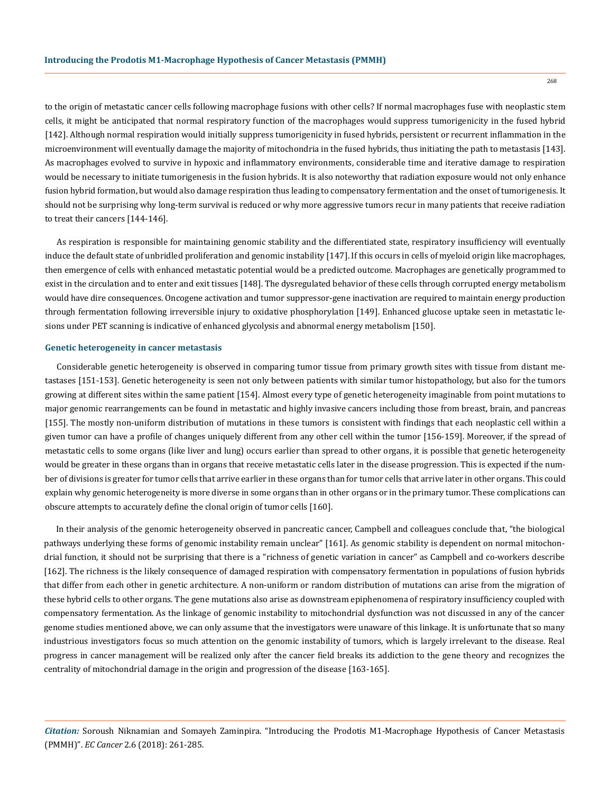to the origin of metastatic cancer cells following macrophage fusions with other cells? If normal macrophages fuse with neoplastic stem cells, it might be anticipated that normal respiratory function of the macrophages would suppress tumorigenicity in the fused hybrid [142]. Although normal respiration would initially suppress tumorigenicity in fused hybrids, persistent or recurrent inflammation in the microenvironment will eventually damage the majority of mitochondria in the fused hybrids, thus initiating the path to metastasis [143]. As macrophages evolved to survive in hypoxic and inflammatory environments, considerable time and iterative damage to respiration would be necessary to initiate tumorigenesis in the fusion hybrids. It is also noteworthy that radiation exposure would not only enhance fusion hybrid formation, but would also damage respiration thus leading to compensatory fermentation and the onset of tumorigenesis. It should not be surprising why long-term survival is reduced or why more aggressive tumors recur in many patients that receive radiation to treat their cancers [144-146].

As respiration is responsible for maintaining genomic stability and the differentiated state, respiratory insufficiency will eventually induce the default state of unbridled proliferation and genomic instability [147]. If this occurs in cells of myeloid origin like macrophages, then emergence of cells with enhanced metastatic potential would be a predicted outcome. Macrophages are genetically programmed to exist in the circulation and to enter and exit tissues [148]. The dysregulated behavior of these cells through corrupted energy metabolism would have dire consequences. Oncogene activation and tumor suppressor-gene inactivation are required to maintain energy production through fermentation following irreversible injury to oxidative phosphorylation [149]. Enhanced glucose uptake seen in metastatic lesions under PET scanning is indicative of enhanced glycolysis and abnormal energy metabolism [150].

### **Genetic heterogeneity in cancer metastasis**

Considerable genetic heterogeneity is observed in comparing tumor tissue from primary growth sites with tissue from distant metastases [151-153]. Genetic heterogeneity is seen not only between patients with similar tumor histopathology, but also for the tumors growing at different sites within the same patient [154]. Almost every type of genetic heterogeneity imaginable from point mutations to major genomic rearrangements can be found in metastatic and highly invasive cancers including those from breast, brain, and pancreas [155]. The mostly non-uniform distribution of mutations in these tumors is consistent with findings that each neoplastic cell within a given tumor can have a profile of changes uniquely different from any other cell within the tumor [156-159]. Moreover, if the spread of metastatic cells to some organs (like liver and lung) occurs earlier than spread to other organs, it is possible that genetic heterogeneity would be greater in these organs than in organs that receive metastatic cells later in the disease progression. This is expected if the number of divisions is greater for tumor cells that arrive earlier in these organs than for tumor cells that arrive later in other organs. This could explain why genomic heterogeneity is more diverse in some organs than in other organs or in the primary tumor. These complications can obscure attempts to accurately define the clonal origin of tumor cells [160].

In their analysis of the genomic heterogeneity observed in pancreatic cancer, Campbell and colleagues conclude that, "the biological pathways underlying these forms of genomic instability remain unclear" [161]. As genomic stability is dependent on normal mitochondrial function, it should not be surprising that there is a "richness of genetic variation in cancer" as Campbell and co-workers describe [162]. The richness is the likely consequence of damaged respiration with compensatory fermentation in populations of fusion hybrids that differ from each other in genetic architecture. A non-uniform or random distribution of mutations can arise from the migration of these hybrid cells to other organs. The gene mutations also arise as downstream epiphenomena of respiratory insufficiency coupled with compensatory fermentation. As the linkage of genomic instability to mitochondrial dysfunction was not discussed in any of the cancer genome studies mentioned above, we can only assume that the investigators were unaware of this linkage. It is unfortunate that so many industrious investigators focus so much attention on the genomic instability of tumors, which is largely irrelevant to the disease. Real progress in cancer management will be realized only after the cancer field breaks its addiction to the gene theory and recognizes the centrality of mitochondrial damage in the origin and progression of the disease [163-165].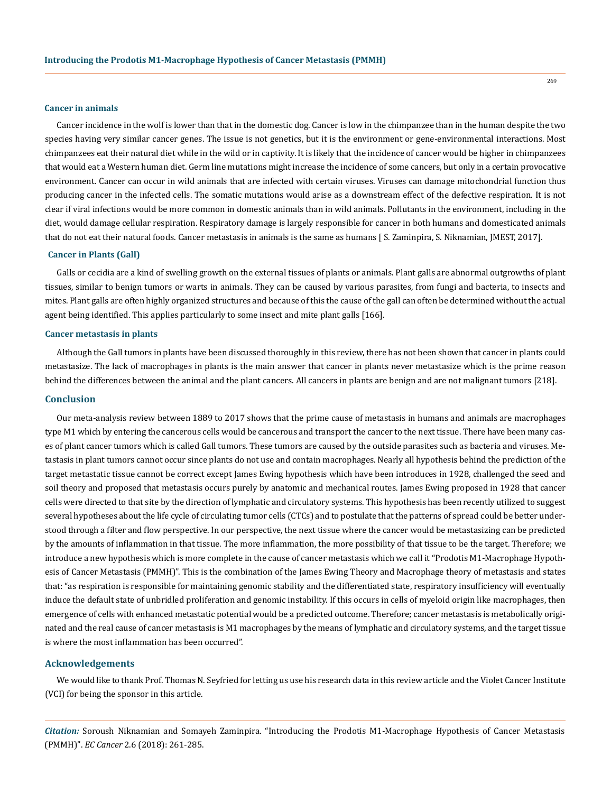#### **Cancer in animals**

Cancer incidence in the wolf is lower than that in the domestic dog. Cancer is low in the chimpanzee than in the human despite the two species having very similar cancer genes. The issue is not genetics, but it is the environment or gene-environmental interactions. Most chimpanzees eat their natural diet while in the wild or in captivity. It is likely that the incidence of cancer would be higher in chimpanzees that would eat a Western human diet. Germ line mutations might increase the incidence of some cancers, but only in a certain provocative environment. Cancer can occur in wild animals that are infected with certain viruses. Viruses can damage mitochondrial function thus producing cancer in the infected cells. The somatic mutations would arise as a downstream effect of the defective respiration. It is not clear if viral infections would be more common in domestic animals than in wild animals. Pollutants in the environment, including in the diet, would damage cellular respiration. Respiratory damage is largely responsible for cancer in both humans and domesticated animals that do not eat their natural foods. Cancer metastasis in animals is the same as humans [ S. Zaminpira, S. Niknamian, JMEST, 2017].

### **Cancer in Plants (Gall)**

Galls or cecidia are a kind of swelling growth on the external tissues of plants or animals. Plant galls are abnormal outgrowths of plant tissues, similar to benign tumors or warts in animals. They can be caused by various parasites, from fungi and bacteria, to insects and mites. Plant galls are often highly organized structures and because of this the cause of the gall can often be determined without the actual agent being identified. This applies particularly to some insect and mite plant galls [166].

### **Cancer metastasis in plants**

Although the Gall tumors in plants have been discussed thoroughly in this review, there has not been shown that cancer in plants could metastasize. The lack of macrophages in plants is the main answer that cancer in plants never metastasize which is the prime reason behind the differences between the animal and the plant cancers. All cancers in plants are benign and are not malignant tumors [218].

# **Conclusion**

Our meta-analysis review between 1889 to 2017 shows that the prime cause of metastasis in humans and animals are macrophages type M1 which by entering the cancerous cells would be cancerous and transport the cancer to the next tissue. There have been many cases of plant cancer tumors which is called Gall tumors. These tumors are caused by the outside parasites such as bacteria and viruses. Metastasis in plant tumors cannot occur since plants do not use and contain macrophages. Nearly all hypothesis behind the prediction of the target metastatic tissue cannot be correct except James Ewing hypothesis which have been introduces in 1928, challenged the seed and soil theory and proposed that metastasis occurs purely by anatomic and mechanical routes. James Ewing proposed in 1928 that cancer cells were directed to that site by the direction of lymphatic and circulatory systems. This hypothesis has been recently utilized to suggest several hypotheses about the life cycle of circulating tumor cells (CTCs) and to postulate that the patterns of spread could be better understood through a filter and flow perspective. In our perspective, the next tissue where the cancer would be metastasizing can be predicted by the amounts of inflammation in that tissue. The more inflammation, the more possibility of that tissue to be the target. Therefore; we introduce a new hypothesis which is more complete in the cause of cancer metastasis which we call it "Prodotis M1-Macrophage Hypothesis of Cancer Metastasis (PMMH)". This is the combination of the James Ewing Theory and Macrophage theory of metastasis and states that: "as respiration is responsible for maintaining genomic stability and the differentiated state, respiratory insufficiency will eventually induce the default state of unbridled proliferation and genomic instability. If this occurs in cells of myeloid origin like macrophages, then emergence of cells with enhanced metastatic potential would be a predicted outcome. Therefore; cancer metastasis is metabolically originated and the real cause of cancer metastasis is M1 macrophages by the means of lymphatic and circulatory systems, and the target tissue is where the most inflammation has been occurred".

# **Acknowledgements**

We would like to thank Prof. Thomas N. Seyfried for letting us use his research data in this review article and the Violet Cancer Institute (VCI) for being the sponsor in this article.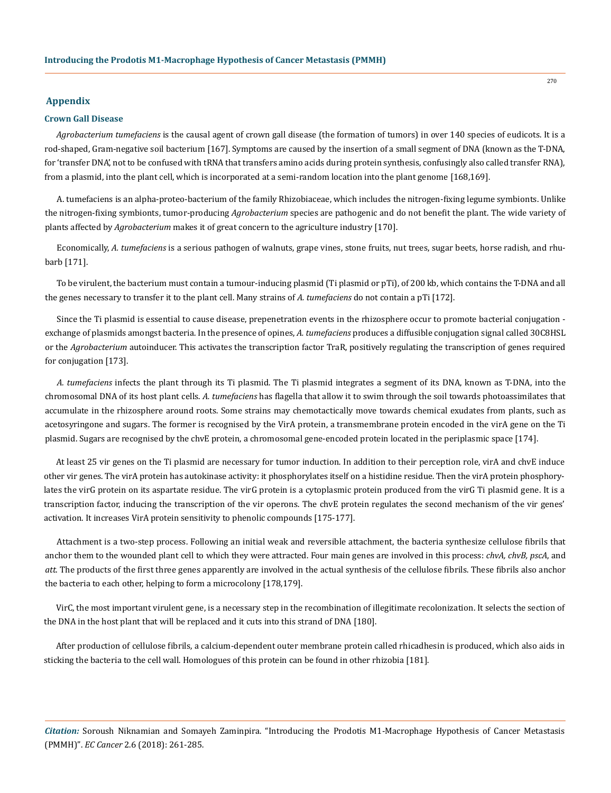# **Appendix**

### **Crown Gall Disease**

*Agrobacterium tumefaciens* is the causal agent of crown gall disease (the formation of tumors) in over 140 species of eudicots. It is a rod-shaped, Gram-negative soil bacterium [167]. Symptoms are caused by the insertion of a small segment of DNA (known as the T-DNA, for 'transfer DNA', not to be confused with tRNA that transfers amino acids during protein synthesis, confusingly also called transfer RNA), from a plasmid, into the plant cell, which is incorporated at a semi-random location into the plant genome [168,169].

A. tumefaciens is an alpha-proteo-bacterium of the family Rhizobiaceae, which includes the nitrogen-fixing legume symbionts. Unlike the nitrogen-fixing symbionts, tumor-producing *Agrobacterium* species are pathogenic and do not benefit the plant. The wide variety of plants affected by *Agrobacterium* makes it of great concern to the agriculture industry [170].

Economically, *A. tumefaciens* is a serious pathogen of walnuts, grape vines, stone fruits, nut trees, sugar beets, horse radish, and rhubarb [171].

To be virulent, the bacterium must contain a tumour-inducing plasmid (Ti plasmid or pTi), of 200 kb, which contains the T-DNA and all the genes necessary to transfer it to the plant cell. Many strains of *A. tumefaciens* do not contain a pTi [172].

Since the Ti plasmid is essential to cause disease, prepenetration events in the rhizosphere occur to promote bacterial conjugation exchange of plasmids amongst bacteria. In the presence of opines, *A. tumefaciens* produces a diffusible conjugation signal called 30C8HSL or the *Agrobacterium* autoinducer. This activates the transcription factor TraR, positively regulating the transcription of genes required for conjugation [173].

*A. tumefaciens* infects the plant through its Ti plasmid. The Ti plasmid integrates a segment of its DNA, known as T-DNA, into the chromosomal DNA of its host plant cells. *A. tumefaciens* has flagella that allow it to swim through the soil towards photoassimilates that accumulate in the rhizosphere around roots. Some strains may chemotactically move towards chemical exudates from plants, such as acetosyringone and sugars. The former is recognised by the VirA protein, a transmembrane protein encoded in the virA gene on the Ti plasmid. Sugars are recognised by the chvE protein, a chromosomal gene-encoded protein located in the periplasmic space [174].

At least 25 vir genes on the Ti plasmid are necessary for tumor induction. In addition to their perception role, virA and chvE induce other vir genes. The virA protein has autokinase activity: it phosphorylates itself on a histidine residue. Then the virA protein phosphorylates the virG protein on its aspartate residue. The virG protein is a cytoplasmic protein produced from the virG Ti plasmid gene. It is a transcription factor, inducing the transcription of the vir operons. The chvE protein regulates the second mechanism of the vir genes' activation. It increases VirA protein sensitivity to phenolic compounds [175-177].

Attachment is a two-step process. Following an initial weak and reversible attachment, the bacteria synthesize cellulose fibrils that anchor them to the wounded plant cell to which they were attracted. Four main genes are involved in this process: *chvA, chvB, pscA*, and *att*. The products of the first three genes apparently are involved in the actual synthesis of the cellulose fibrils. These fibrils also anchor the bacteria to each other, helping to form a microcolony [178,179].

VirC, the most important virulent gene, is a necessary step in the recombination of illegitimate recolonization. It selects the section of the DNA in the host plant that will be replaced and it cuts into this strand of DNA [180].

After production of cellulose fibrils, a calcium-dependent outer membrane protein called rhicadhesin is produced, which also aids in sticking the bacteria to the cell wall. Homologues of this protein can be found in other rhizobia [181].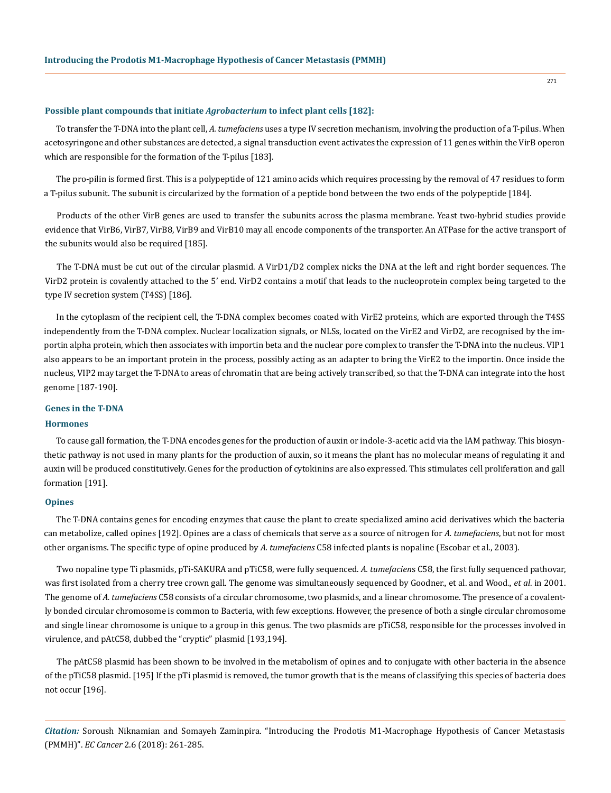# **Possible plant compounds that initiate** *Agrobacterium* **to infect plant cells [182]:**

To transfer the T-DNA into the plant cell, *A. tumefaciens* uses a type IV secretion mechanism, involving the production of a T-pilus. When acetosyringone and other substances are detected, a signal transduction event activates the expression of 11 genes within the VirB operon which are responsible for the formation of the T-pilus [183].

The pro-pilin is formed first. This is a polypeptide of 121 amino acids which requires processing by the removal of 47 residues to form a T-pilus subunit. The subunit is circularized by the formation of a peptide bond between the two ends of the polypeptide [184].

Products of the other VirB genes are used to transfer the subunits across the plasma membrane. Yeast two-hybrid studies provide evidence that VirB6, VirB7, VirB8, VirB9 and VirB10 may all encode components of the transporter. An ATPase for the active transport of the subunits would also be required [185].

The T-DNA must be cut out of the circular plasmid. A VirD1/D2 complex nicks the DNA at the left and right border sequences. The VirD2 protein is covalently attached to the 5' end. VirD2 contains a motif that leads to the nucleoprotein complex being targeted to the type IV secretion system (T4SS) [186].

In the cytoplasm of the recipient cell, the T-DNA complex becomes coated with VirE2 proteins, which are exported through the T4SS independently from the T-DNA complex. Nuclear localization signals, or NLSs, located on the VirE2 and VirD2, are recognised by the importin alpha protein, which then associates with importin beta and the nuclear pore complex to transfer the T-DNA into the nucleus. VIP1 also appears to be an important protein in the process, possibly acting as an adapter to bring the VirE2 to the importin. Once inside the nucleus, VIP2 may target the T-DNA to areas of chromatin that are being actively transcribed, so that the T-DNA can integrate into the host genome [187-190].

# **Genes in the T-DNA**

# **Hormones**

To cause gall formation, the T-DNA encodes genes for the production of auxin or indole-3-acetic acid via the IAM pathway. This biosynthetic pathway is not used in many plants for the production of auxin, so it means the plant has no molecular means of regulating it and auxin will be produced constitutively. Genes for the production of cytokinins are also expressed. This stimulates cell proliferation and gall formation [191].

# **Opines**

The T-DNA contains genes for encoding enzymes that cause the plant to create specialized amino acid derivatives which the bacteria can metabolize, called opines [192]. Opines are a class of chemicals that serve as a source of nitrogen for *A. tumefaciens*, but not for most other organisms. The specific type of opine produced by *A. tumefaciens* C58 infected plants is nopaline (Escobar et al., 2003).

Two nopaline type Ti plasmids, pTi-SAKURA and pTiC58, were fully sequenced. *A. tumefacien*s C58, the first fully sequenced pathovar, was first isolated from a cherry tree crown gall. The genome was simultaneously sequenced by Goodner., et al. and Wood., *et al*. in 2001. The genome of *A. tumefaciens* C58 consists of a circular chromosome, two plasmids, and a linear chromosome. The presence of a covalently bonded circular chromosome is common to Bacteria, with few exceptions. However, the presence of both a single circular chromosome and single linear chromosome is unique to a group in this genus. The two plasmids are pTiC58, responsible for the processes involved in virulence, and pAtC58, dubbed the "cryptic" plasmid [193,194].

The pAtC58 plasmid has been shown to be involved in the metabolism of opines and to conjugate with other bacteria in the absence of the pTiC58 plasmid. [195] If the pTi plasmid is removed, the tumor growth that is the means of classifying this species of bacteria does not occur [196].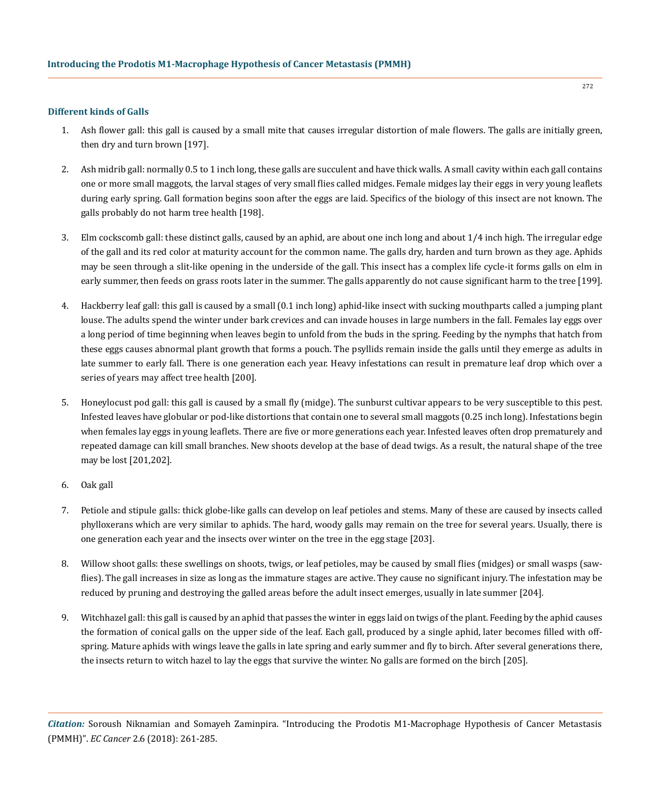### **Different kinds of Galls**

- 1. [Ash](https://en.wikipedia.org/wiki/Ash_tree) flower gall: this gall is caused by a small mite that causes irregular distortion of male flowers. The galls are initially green, then dry and turn brown [197].
- 2. Ash midrib gall: normally 0.5 to 1 inch long, these galls are succulent and have thick walls. A small cavity within each gall contains one or more small maggots, the larval stages of very small flies called midges. Female midges lay their eggs in very young leaflets during early spring. Gall formation begins soon after the eggs are laid. Specifics of the biology of this insect are not known. The galls probably do not harm tree health [198].
- 3. [Elm](https://en.wikipedia.org/wiki/Elm) cockscomb gall: these distinct galls, caused by an aphid, are about one inch long and about 1/4 inch high. The irregular edge of the gall and its red color at maturity account for the common name. The galls dry, harden and turn brown as they age. Aphids may be seen through a slit-like opening in the underside of the gall. This insect has a complex life cycle-it forms galls on elm in early summer, then feeds on grass roots later in the summer. The galls apparently do not cause significant harm to the tree [199].
- 4. [Hackberry](https://en.wikipedia.org/wiki/Celtis) leaf gall: this gall is caused by a small (0.1 inch long) aphid-like insect with sucking mouthparts called a jumping plant louse. The adults spend the winter under bark crevices and can invade houses in large numbers in the fall. Females lay eggs over a long period of time beginning when leaves begin to unfold from the buds in the spring. Feeding by the nymphs that hatch from these eggs causes abnormal plant growth that forms a pouch. The psyllids remain inside the galls until they emerge as adults in late summer to early fall. There is one generation each year. Heavy infestations can result in premature leaf drop which over a series of years may affect tree health [200].
- 5. [Honeylocust](https://en.wikipedia.org/wiki/Honeylocust) pod gall: this gall is caused by a small fly (midge). The sunburst cultivar appears to be very susceptible to this pest. Infested leaves have globular or pod-like distortions that contain one to several small maggots (0.25 inch long). Infestations begin when females lay eggs in young leaflets. There are five or more generations each year. Infested leaves often drop prematurely and repeated damage can kill small branches. New shoots develop at the base of dead twigs. As a result, the natural shape of the tree may be lost [201,202].
- 6. Oak gall
- 7. Petiole and stipule galls: thick globe-like galls can develop on leaf petioles and stems. Many of these are caused by insects called [phylloxerans](https://en.wikipedia.org/wiki/Phylloxeridae) which are very similar to aphids. The hard, woody galls may remain on the tree for several years. Usually, there is one generation each year and the insects over winter on the tree in the egg stage [203].
- 8. [Willow](https://en.wikipedia.org/wiki/Willow) shoot galls: these swellings on shoots, twigs, or leaf petioles, may be caused by small flies (midges) or small wasps (sawflies). The gall increases in size as long as the immature stages are active. They cause no significant injury. The infestation may be reduced by pruning and destroying the galled areas before the adult insect emerges, usually in late summer [204].
- 9. [Witchhazel](https://en.wikipedia.org/wiki/Witchhazel) gall: this gall is caused by an aphid that passes the winter in eggs laid on twigs of the plant. Feeding by the aphid causes the formation of conical galls on the upper side of the leaf. Each gall, produced by a single aphid, later becomes filled with offspring. Mature aphids with wings leave the galls in late spring and early summer and fly to [birch.](https://en.wikipedia.org/wiki/Birch) After several generations there, the insects return to witch hazel to lay the eggs that survive the winter. No galls are formed on the birch [205].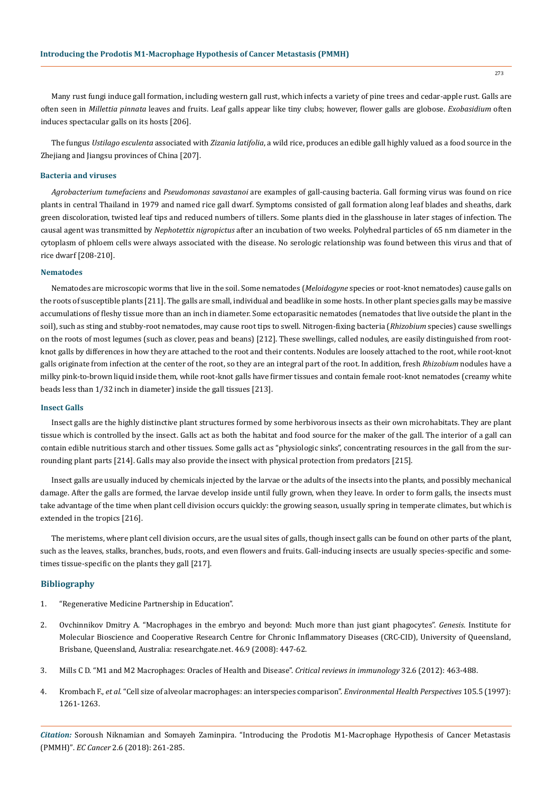Many rust fungi induce gall formation, including western gall rust, which infects a variety of pine trees and cedar-apple rust. Galls are often seen in *Millettia pinnata* leaves and fruits. Leaf galls appear like tiny clubs; however, flower galls are globose. *Exobasidium* often induces spectacular galls on its hosts [206].

The fungus *Ustilago esculenta* associated with *Zizania latifolia*, a wild rice, produces an edible gall highly valued as a food source in the Zhejiang and Jiangsu provinces of China [207].

# **Bacteria and viruses**

*Agrobacterium tumefaciens* and *Pseudomonas savastanoi* are examples of gall-causing bacteria. Gall forming virus was found on rice plants in central Thailand in 1979 and named rice gall dwarf. Symptoms consisted of gall formation along leaf blades and sheaths, dark green discoloration, twisted leaf tips and reduced numbers of tillers. Some plants died in the glasshouse in later stages of infection. The causal agent was transmitted by *Nephotettix nigropictus* after an incubation of two weeks. Polyhedral particles of 65 nm diameter in the cytoplasm of phloem cells were always associated with the disease. No serologic relationship was found between this virus and that of rice dwarf [208-210].

# **Nematodes**

Nematodes are microscopic worms that live in the soil. Some nematodes (*Meloidogyne* species or root-knot nematodes) cause galls on the roots of susceptible plants [211]. The galls are small, individual and beadlike in some hosts. In other plant species galls may be massive accumulations of fleshy tissue more than an inch in diameter. Some ectoparasitic nematodes (nematodes that live outside the plant in the soil), such as sting and stubby-root nematodes, may cause root tips to swell. Nitrogen-fixing bacteria (*Rhizobium* species) cause swellings on the roots of most legumes (such as clover, peas and beans) [212]. These swellings, called nodules, are easily distinguished from rootknot galls by differences in how they are attached to the root and their contents. Nodules are loosely attached to the root, while root-knot galls originate from infection at the center of the root, so they are an integral part of the root. In addition, fresh *Rhizobium* nodules have a milky pink-to-brown liquid inside them, while root-knot galls have firmer tissues and contain female root-knot nematodes (creamy white beads less than 1/32 inch in diameter) inside the gall tissues [213].

# **Insect Galls**

Insect galls are the highly distinctive plant structures formed by some herbivorous insects as their own microhabitats. They are plant tissue which is controlled by the insect. Galls act as both the habitat and food source for the maker of the gall. The interior of a gall can contain edible nutritious starch and other tissues. Some galls act as "physiologic sinks", concentrating resources in the gall from the surrounding plant parts [214]. Galls may also provide the insect with physical protection from predators [215].

Insect galls are usually induced by chemicals injected by the larvae or the adults of the insects into the plants, and possibly mechanical damage. After the galls are formed, the larvae develop inside until fully grown, when they leave. In order to form galls, the insects must take advantage of the time when plant cell division occurs quickly: the growing season, usually spring in temperate climates, but which is extended in the tropics [216].

The meristems, where plant cell division occurs, are the usual sites of galls, though insect galls can be found on other parts of the plant, such as the leaves, stalks, branches, buds, roots, and even flowers and fruits. Gall-inducing insects are usually species-specific and sometimes tissue-specific on the plants they gall [217].

# **Bibliography**

- 1. "Regenerative Medicine Partnership in Education".
- 2. [Ovchinnikov Dmitry A. "Macrophages in the embryo and beyond: Much more than just giant phagocytes".](https://www.ncbi.nlm.nih.gov/pubmed/18781633) *Genesis*. Institute for [Molecular Bioscience and Cooperative Research Centre for Chronic Inflammatory Diseases \(CRC-CID\), University of Queensland,](https://www.ncbi.nlm.nih.gov/pubmed/18781633) [Brisbane, Queensland, Australia: researchgate.net. 46.9 \(2008\): 447-62.](https://www.ncbi.nlm.nih.gov/pubmed/18781633)
- 3. [Mills C D. "M1 and M2 Macrophages: Oracles of Health and Disease".](https://www.ncbi.nlm.nih.gov/pubmed/23428224) *Critical reviews in immunology* 32.6 (2012): 463-488.
- 4. Krombach F., *et al.* ["Cell size of alveolar macrophages: an interspecies comparison".](https://www.ncbi.nlm.nih.gov/pmc/articles/PMC1470168/) *Environmental Health Perspectives* 105.5 (1997): [1261-1263.](https://www.ncbi.nlm.nih.gov/pmc/articles/PMC1470168/)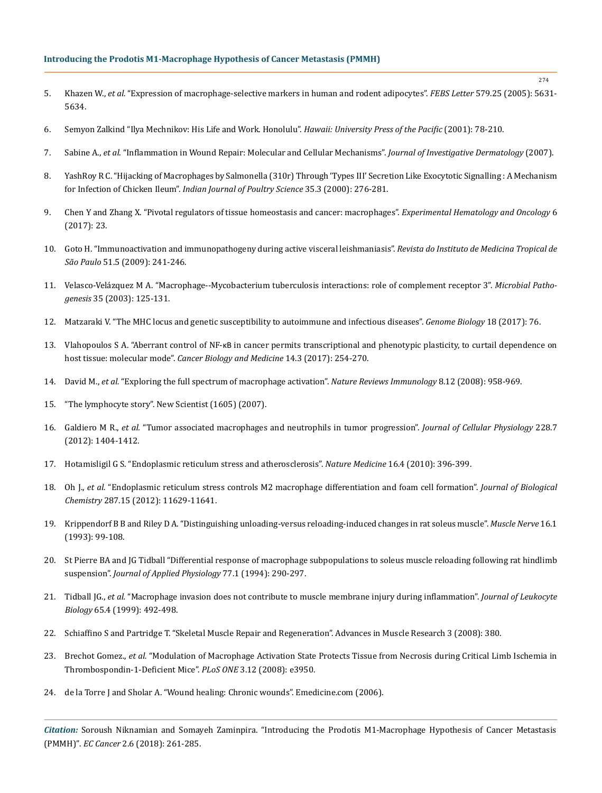# **Introducing the Prodotis M1-Macrophage Hypothesis of Cancer Metastasis (PMMH)**

- 5. Khazen W., *et al.* ["Expression of macrophage-selective markers in human and rodent adipocytes".](https://www.ncbi.nlm.nih.gov/pubmed/16213494) *FEBS Letter* 579.25 (2005): 5631- [5634.](https://www.ncbi.nlm.nih.gov/pubmed/16213494)
- 6. [Semyon Zalkind "Ilya Mechnikov: His Life and Work. Honolulu".](http://www.nndb.com/people/143/000125765/bibliography/) *Hawaii: University Press of the Pacific* (2001): 78-210.
- 7. Sabine A., *et al*[. "Inflammation in Wound Repair: Molecular and Cellular Mechanisms".](https://www.ncbi.nlm.nih.gov/pubmed/17299434) *Journal of Investigative Dermatology* (2007).
- 8. [YashRoy R C. "Hijacking of Macrophages by Salmonella \(310r\) Through 'Types III' Secretion Like Exocytotic Signalling : A Mechanism](https://www.researchgate.net/publication/230823526_Hijacking_of_macrophages_by_Salmonella_310r-_through_%27types-III%27_secretion-like_exocytotic_signalling_a_mechanism_for_infection_of_chicken_ileum?ev=prf_pub)  for Infection of Chicken Ileum". *[Indian Journal of Poultry Science](https://www.researchgate.net/publication/230823526_Hijacking_of_macrophages_by_Salmonella_310r-_through_%27types-III%27_secretion-like_exocytotic_signalling_a_mechanism_for_infection_of_chicken_ileum?ev=prf_pub)* 35.3 (2000): 276-281.
- 9. [Chen Y and Zhang X. "Pivotal regulators of tissue homeostasis and cancer: macrophages".](https://www.ncbi.nlm.nih.gov/pmc/articles/PMC5549331/) *Experimental Hematology and Oncology* 6 [\(2017\): 23.](https://www.ncbi.nlm.nih.gov/pmc/articles/PMC5549331/)
- 10. [Goto H. "Immunoactivation and immunopathogeny during active visceral leishmaniasis".](http://www.scielo.br/scielo.php?script=sci_arttext&pid=S0036-46652009000500002) *Revista do Instituto de Medicina Tropical de São Paulo* [51.5 \(2009\): 241-246.](http://www.scielo.br/scielo.php?script=sci_arttext&pid=S0036-46652009000500002)
- 11. [Velasco-Velázquez M A. "Macrophage--Mycobacterium tuberculosis interactions: role of complement receptor 3".](https://www.ncbi.nlm.nih.gov/pubmed/12927520) *Microbial Pathogenesis* [35 \(2003\): 125-131.](https://www.ncbi.nlm.nih.gov/pubmed/12927520)
- 12. [Matzaraki V. "The MHC locus and genetic susceptibility to autoimmune and infectious diseases".](https://genomebiology.biomedcentral.com/articles/10.1186/s13059-017-1207-1) *Genome Biology* 18 (2017): 76.
- 13. Vlahopoulos S A. "Aberrant control of NF-κB [in cancer permits transcriptional and phenotypic plasticity, to curtail dependence on](https://www.ncbi.nlm.nih.gov/pmc/articles/PMC5570602/)  host tissue: molecular mode". *[Cancer Biology and Medicine](https://www.ncbi.nlm.nih.gov/pmc/articles/PMC5570602/)* 14.3 (2017): 254-270.
- 14. David M., *et al.* ["Exploring the full spectrum of macrophage activation".](https://www.ncbi.nlm.nih.gov/pubmed/19029990) *Nature Reviews Immunology* 8.12 (2008): 958-969.
- 15. "The lymphocyte story". New Scientist (1605) (2007).
- 16. Galdiero M R., *et al.* ["Tumor associated macrophages and neutrophils in tumor progression".](https://www.ncbi.nlm.nih.gov/pubmed/23065796) *Journal of Cellular Physiology* 228.7 [\(2012\): 1404-1412.](https://www.ncbi.nlm.nih.gov/pubmed/23065796)
- 17. [Hotamisligil G S. "Endoplasmic reticulum stress and atherosclerosis".](https://www.ncbi.nlm.nih.gov/pubmed/20376052) *Nature Medicine* 16.4 (2010): 396-399.
- 18. Oh J., *et al.* ["Endoplasmic reticulum stress controls M2 macrophage differentiation and foam cell formation".](https://www.ncbi.nlm.nih.gov/pubmed/22356914) *Journal of Biological Chemistry* [287.15 \(2012\): 11629-11641.](https://www.ncbi.nlm.nih.gov/pubmed/22356914)
- 19. [Krippendorf B B and Riley D A. "Distinguishing unloading-versus reloading-induced changes in rat soleus muscle".](https://www.ncbi.nlm.nih.gov/pubmed/8423838) *Muscle Nerve* 16.1 [\(1993\): 99-108.](https://www.ncbi.nlm.nih.gov/pubmed/8423838)
- 20. [St Pierre BA and JG Tidball "Differential response of macrophage subpopulations to soleus muscle reloading following rat hindlimb](https://www.ncbi.nlm.nih.gov/pubmed/7961247)  suspension". *[Journal of Applied Physiology](https://www.ncbi.nlm.nih.gov/pubmed/7961247)* 77.1 (1994): 290-297.
- 21. Tidball JG., *et al.* ["Macrophage invasion does not contribute to muscle membrane injury during inflammation".](https://www.ncbi.nlm.nih.gov/pubmed/10204578) *Journal of Leukocyte Biology* [65.4 \(1999\): 492-498.](https://www.ncbi.nlm.nih.gov/pubmed/10204578)
- 22. [Schiaffino S and Partridge T. "Skeletal Muscle Repair and Regeneration". Advances in Muscle Research 3 \(2008\): 380.](http://www.springer.com/in/book/9781402067679)
- 23. Brechot Gomez., *et al.* ["Modulation of Macrophage Activation State Protects Tissue from Necrosis during Critical Limb Ischemia in](http://journals.plos.org/plosone/article?id=10.1371/journal.pone.0003950)  [Thrombospondin-1-Deficient Mice".](http://journals.plos.org/plosone/article?id=10.1371/journal.pone.0003950) *PLoS ONE* 3.12 (2008): e3950.
- 24. de la Torre J and Sholar A. "Wound healing: Chronic wounds". Emedicine.com (2006).

*Citation:* Soroush Niknamian and Somayeh Zaminpira. "Introducing the Prodotis M1-Macrophage Hypothesis of Cancer Metastasis (PMMH)". *EC Cancer* 2.6 (2018): 261-285.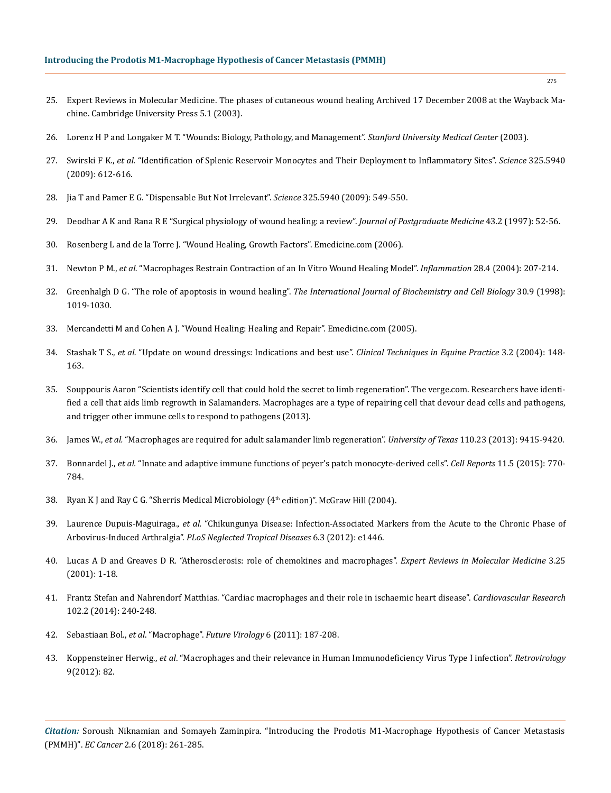- 25. Expert Reviews in Molecular Medicine. The phases of cutaneous wound healing Archived 17 December 2008 at the Wayback Machine. Cambridge University Press 5.1 (2003).
- 26. [Lorenz H P and Longaker M T. "Wounds: Biology, Pathology, and Management".](https://link.springer.com/chapter/10.1007/978-0-387-68113-9_10) *Stanford University Medical Center* (2003).
- 27. Swirski F K., *et al.* ["Identification of Splenic Reservoir Monocytes and Their Deployment to Inflammatory Sites".](https://www.ncbi.nlm.nih.gov/pubmed/19644120) *Science* 325.5940 [\(2009\): 612-616.](https://www.ncbi.nlm.nih.gov/pubmed/19644120)
- 28. [Jia T and Pamer E G. "Dispensable But Not Irrelevant".](http://science.sciencemag.org/content/325/5940/549) *Science* 325.5940 (2009): 549-550.
- 29. [Deodhar A K and Rana R E "Surgical physiology of wound healing: a review".](https://www.ncbi.nlm.nih.gov/pubmed/10740722) *Journal of Postgraduate Medicine* 43.2 (1997): 52-56.
- 30. Rosenberg L and de la Torre J. "Wound Healing, Growth Factors". Emedicine.com (2006).
- 31. Newton P M., *et al.* ["Macrophages Restrain Contraction of an In Vitro Wound Healing Model".](https://www.ncbi.nlm.nih.gov/pubmed/15673162) *Inflammation* 28.4 (2004): 207-214.
- 32. Greenhalgh D G. "The role of apoptosis in wound healing". *[The International Journal of Biochemistry and Cell Biology](https://www.ncbi.nlm.nih.gov/pubmed/9785465)* 30.9 (1998): [1019-1030.](https://www.ncbi.nlm.nih.gov/pubmed/9785465)
- 33. Mercandetti M and Cohen A J. "Wound Healing: Healing and Repair". Emedicine.com (2005).
- 34. Stashak T S., *et al.* ["Update on wound dressings: Indications and best use".](https://www.sciencedirect.com/science/article/pii/S1534751604000460) *Clinical Techniques in Equine Practice* 3.2 (2004): 148- [163.](https://www.sciencedirect.com/science/article/pii/S1534751604000460)
- 35. Souppouris Aaron "Scientists identify cell that could hold the secret to limb regeneration". The verge.com. Researchers have identified a cell that aids limb regrowth in Salamanders. Macrophages are a type of repairing cell that devour dead cells and pathogens, and trigger other immune cells to respond to pathogens (2013).
- 36. James W., *et al.* ["Macrophages are required for adult salamander limb regeneration".](http://www.pnas.org/content/110/23/9415.abstract) *University of Texas* 110.23 (2013): 9415-9420.
- 37. Bonnardel J., *et al.* ["Innate and adaptive immune functions of peyer's patch monocyte-derived cells".](https://www.ncbi.nlm.nih.gov/pubmed/25921539) *Cell Reports* 11.5 (2015): 770- [784.](https://www.ncbi.nlm.nih.gov/pubmed/25921539)
- 38. Ryan K J and Ray C G. "Sherris Medical Microbiology (4th edition)". McGraw Hill (2004).
- 39. Laurence Dupuis-Maguiraga.*, et al.* ["Chikungunya Disease: Infection-Associated Markers from the Acute to the Chronic Phase of](http://journals.plos.org/plosntds/article?id=10.1371/journal.pntd.0001446)  Arbovirus-Induced Arthralgia". *[PLoS Neglected Tropical Diseases](http://journals.plos.org/plosntds/article?id=10.1371/journal.pntd.0001446)* 6.3 (2012): e1446.
- 40. [Lucas A D and Greaves D R. "Atherosclerosis: role of chemokines and macrophages".](https://www.ncbi.nlm.nih.gov/pubmed/14585150) *Expert Reviews in Molecular Medicine* 3.25 [\(2001\): 1-18.](https://www.ncbi.nlm.nih.gov/pubmed/14585150)
- 41. [Frantz Stefan and Nahrendorf Matthias. "Cardiac macrophages and their role in ischaemic heart disease".](https://academic.oup.com/cardiovascres/article/102/2/240/288859) *Cardiovascular Research* [102.2 \(2014\): 240-248.](https://academic.oup.com/cardiovascres/article/102/2/240/288859)
- 42. Sebastiaan Bol., *et al*. "Macrophage". *Future Virology* 6 (2011): 187-208.
- 43. Koppensteiner Herwig., *et al*[. "Macrophages and their relevance in Human Immunodeficiency Virus Type I infection".](https://retrovirology.biomedcentral.com/articles/10.1186/1742-4690-9-82) *Retrovirology* [9\(2012\): 82.](https://retrovirology.biomedcentral.com/articles/10.1186/1742-4690-9-82)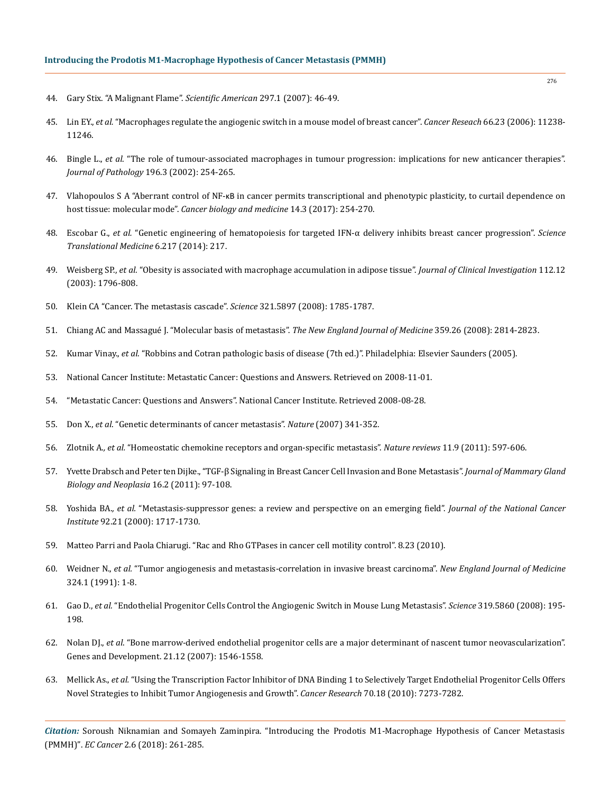- 44. [Gary Stix. "A Malignant Flame".](https://www.scientificamerican.com/article/a-malignant-flame/) *Scientific American* 297.1 (2007): 46-49.
- 45. Lin EY., *et al.* ["Macrophages regulate the angiogenic switch in a mouse model of breast cancer".](https://www.ncbi.nlm.nih.gov/pubmed/17114237) *Cancer Reseach* 66.23 (2006): 11238- [11246.](https://www.ncbi.nlm.nih.gov/pubmed/17114237)
- 46. Bingle L., *et al*[. "The role of tumour-associated macrophages in tumour progression: implications for new anticancer therapies".](https://www.ncbi.nlm.nih.gov/pubmed/11857487) *Journal of Pathology* [196.3 \(2002\): 254-265.](https://www.ncbi.nlm.nih.gov/pubmed/11857487)
- 47. Vlahopoulos S A "Aberrant control of NF-κB [in cancer permits transcriptional and phenotypic plasticity, to curtail dependence on](https://www.ncbi.nlm.nih.gov/pmc/articles/PMC5570602/)  host tissue: molecular mode". *[Cancer biology and medicine](https://www.ncbi.nlm.nih.gov/pmc/articles/PMC5570602/)* 14.3 (2017): 254-270.
- 48. Escobar G., *et al.* ["Genetic engineering of hematopoiesis for targeted IFN-α delivery inhibits breast cancer progression".](https://www.ncbi.nlm.nih.gov/pubmed/24382895) *Science [Translational Medicine](https://www.ncbi.nlm.nih.gov/pubmed/24382895)* 6.217 (2014): 217.
- 49. Weisberg SP., *et al.* ["Obesity is associated with macrophage accumulation in adipose tissue".](https://www.ncbi.nlm.nih.gov/pubmed/14679176) *Journal of Clinical Investigation* 112.12 [\(2003\): 1796-808.](https://www.ncbi.nlm.nih.gov/pubmed/14679176)
- 50. [Klein CA "Cancer. The metastasis cascade".](https://www.ncbi.nlm.nih.gov/pubmed/18818347) *Science* 321.5897 (2008): 1785-1787.
- 51. [Chiang AC and Massagué J. "Molecular basis of metastasis".](https://www.ncbi.nlm.nih.gov/pmc/articles/PMC4189180/) *The New England Journal of Medicine* 359.26 (2008): 2814-2823.
- 52. Kumar Vinay., *et al*. "Robbins and Cotran pathologic basis of disease (7th ed.)". Philadelphia: Elsevier Saunders (2005).
- 53. National Cancer Institute: Metastatic Cancer: Questions and Answers. Retrieved on 2008-11-01.
- 54. "Metastatic Cancer: Questions and Answers". National Cancer Institute. Retrieved 2008-08-28.
- 55. Don X., *et al*[. "Genetic determinants of cancer metastasis".](https://www.nature.com/articles/nrg2101) *Nature* (2007) 341-352.
- 56. Zlotnik A.*, et al.* ["Homeostatic chemokine receptors and organ-specific metastasis".](https://www.ncbi.nlm.nih.gov/pubmed/21866172) *Nature reviews* 11.9 (2011): 597-606.
- 57. [Yvette Drabsch and Peter ten Dijke., "TGF-β Signaling in Breast Cancer Cell Invasion and Bone Metastasis".](https://www.ncbi.nlm.nih.gov/pubmed/21494783) *Journal of Mammary Gland [Biology and Neoplasia](https://www.ncbi.nlm.nih.gov/pubmed/21494783)* 16.2 (2011): 97-108.
- 58. Yoshida BA.*, et al.* ["Metastasis-suppressor genes: a review and perspective on an emerging field".](https://www.ncbi.nlm.nih.gov/pubmed/11058615) *Journal of the National Cancer Institute* [92.21 \(2000\): 1717-1730.](https://www.ncbi.nlm.nih.gov/pubmed/11058615)
- 59. [Matteo Parri and Paola Chiarugi. "Rac and Rho GTPases in cancer cell motility control". 8.23 \(2010\).](https://www.ncbi.nlm.nih.gov/pubmed/20822528)
- 60. Weidner N., *et al.* ["Tumor angiogenesis and metastasis-correlation in invasive breast carcinoma".](http://www.nejm.org/doi/full/10.1056/NEJM199101033240101) *New England Journal of Medicine* [324.1 \(1991\): 1-8.](http://www.nejm.org/doi/full/10.1056/NEJM199101033240101)
- 61. Gao D., *et al.* ["Endothelial Progenitor Cells Control the Angiogenic Switch in Mouse Lung Metastasis".](https://www.ncbi.nlm.nih.gov/pubmed/18187653) *Science* 319.5860 (2008): 195- [198.](https://www.ncbi.nlm.nih.gov/pubmed/18187653)
- 62. Nolan DJ., *et al*[. "Bone marrow-derived endothelial progenitor cells are a major determinant of nascent tumor neovascularization".](https://www.ncbi.nlm.nih.gov/pubmed/17575055)  [Genes and Development. 21.12 \(2007\): 1546-1558.](https://www.ncbi.nlm.nih.gov/pubmed/17575055)
- 63. Mellick As., *et al.* ["Using the Transcription Factor Inhibitor of DNA Binding 1 to Selectively Target Endothelial Progenitor Cells Offers](https://www.ncbi.nlm.nih.gov/pubmed/20807818)  [Novel Strategies to Inhibit Tumor Angiogenesis and Growth".](https://www.ncbi.nlm.nih.gov/pubmed/20807818) *Cancer Research* 70.18 (2010): 7273-7282.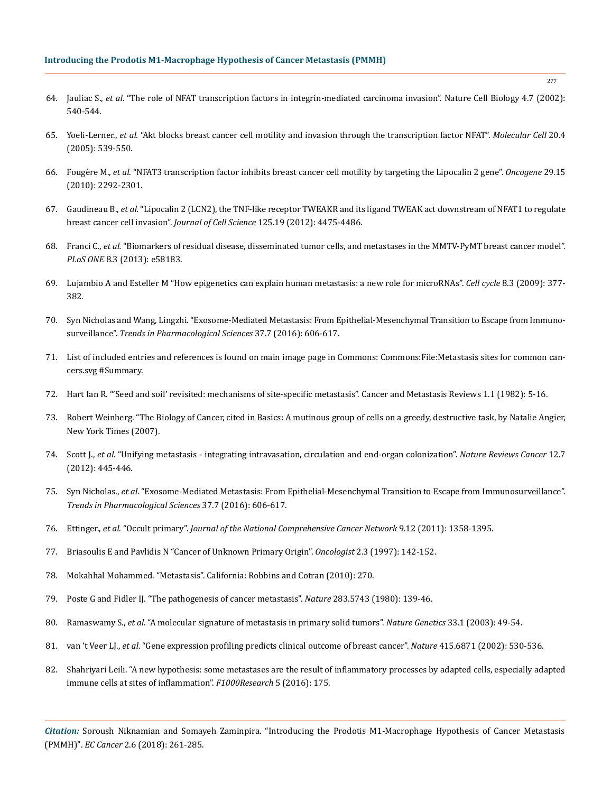- 64. Jauliac S., *et al*[. "The role of NFAT transcription factors in integrin-mediated carcinoma invasion". Nature Cell Biology 4.7 \(2002\):](https://www.ncbi.nlm.nih.gov/pubmed/12080349)  [540-544.](https://www.ncbi.nlm.nih.gov/pubmed/12080349)
- 65. Yoeli-Lerner., *et al.* ["Akt blocks breast cancer cell motility and invasion through the transcription factor NFAT".](https://www.ncbi.nlm.nih.gov/pubmed/16307918) *Molecular Cell* 20.4 [\(2005\): 539-550.](https://www.ncbi.nlm.nih.gov/pubmed/16307918)
- 66. Fougère M., *et al.* ["NFAT3 transcription factor inhibits breast cancer cell motility by targeting the Lipocalin 2 gene".](https://www.ncbi.nlm.nih.gov/pubmed/20101218) *Oncogene* 29.15 [\(2010\): 2292-2301.](https://www.ncbi.nlm.nih.gov/pubmed/20101218)
- 67. Gaudineau B., *et al.* ["Lipocalin 2 \(LCN2\), the TNF-like receptor TWEAKR and its ligand TWEAK act downstream of NFAT1 to regulate](https://www.ncbi.nlm.nih.gov/pubmed/22767506)  breast cancer cell invasion". *Journal of Cell Science* [125.19 \(2012\): 4475-4486.](https://www.ncbi.nlm.nih.gov/pubmed/22767506)
- 68. Franci C., *et al.* ["Biomarkers of residual disease, disseminated tumor cells, and metastases in the MMTV-PyMT breast cancer model".](http://journals.plos.org/plosone/article?id=10.1371/journal.pone.0058183)  *PLoS ONE* [8.3 \(2013\): e58183.](http://journals.plos.org/plosone/article?id=10.1371/journal.pone.0058183)
- 69. [Lujambio A and Esteller M "How epigenetics can explain human metastasis: a new role for microRNAs".](https://www.ncbi.nlm.nih.gov/pubmed/19177007) *Cell cycle* 8.3 (2009): 377- [382](https://www.ncbi.nlm.nih.gov/pubmed/19177007)*.*
- 70. [Syn Nicholas and Wang, Lingzhi. "Exosome-Mediated Metastasis: From Epithelial-Mesenchymal Transition to Escape from Immuno](https://www.ncbi.nlm.nih.gov/pubmed/27157716)surveillance". *[Trends in Pharmacological Sciences](https://www.ncbi.nlm.nih.gov/pubmed/27157716)* 37.7 (2016): 606-617.
- 71. List of included entries and references is found on main image page in Commons: Commons:File:Metastasis sites for common cancers.svg #Summary.
- 72. [Hart Ian R. "'Seed and soil' revisited: mechanisms of site-specific metastasis". Cancer and Metastasis Reviews 1.1 \(1982\): 5-16.](https://www.ncbi.nlm.nih.gov/pubmed/6764375)
- 73. Robert Weinberg. "The Biology of Cancer, cited in Basics: A mutinous group of cells on a greedy, destructive task, by Natalie Angier, New York Times (2007).
- 74. Scott J., *et al.* ["Unifying metastasis integrating intravasation, circulation and end-organ colonization".](https://www.nature.com/articles/nrc3287) *Nature Reviews Cancer* 12.7 [\(2012\): 445-446.](https://www.nature.com/articles/nrc3287)
- 75. Syn Nicholas., *et al*[. "Exosome-Mediated Metastasis: From Epithelial-Mesenchymal Transition to Escape from Immunosurveillance".](https://www.ncbi.nlm.nih.gov/pubmed/27157716)  *[Trends in Pharmacological Sciences](https://www.ncbi.nlm.nih.gov/pubmed/27157716)* 37.7 (2016): 606-617.
- 76. Ettinger., *et al.* "Occult primary". *[Journal of the National Comprehensive Cancer Network](http://www.jnccn.org/content/9/12/1358.full)* 9.12 (2011): 1358-1395.
- 77. [Briasoulis E and Pavlidis N "Cancer of Unknown Primary Origin".](http://theoncologist.alphamedpress.org/content/2/3/142.full) *Oncologist* 2.3 (1997): 142-152.
- 78. Mokahhal Mohammed. "Metastasis". California: Robbins and Cotran (2010): 270.
- 79. [Poste G and Fidler IJ. "The pathogenesis of cancer metastasis".](https://www.ncbi.nlm.nih.gov/pubmed/6985715) *Nature* 283.5743 (1980): 139-46.
- 80. Ramaswamy S., *et al.* ["A molecular signature of metastasis in primary solid tumors".](https://www.ncbi.nlm.nih.gov/pubmed/12469122) *Nature Genetics* 33.1 (2003): 49-54.
- 81. van 't Veer LJ., *et al*[. "Gene expression profiling predicts clinical outcome of breast cancer".](https://www.nature.com/articles/415530a) *Nature* 415.6871 (2002): 530-536.
- 82. [Shahriyari Leili. "A new hypothesis: some metastases are the result of inflammatory processes by adapted cells, especially adapted](https://www.ncbi.nlm.nih.gov/pubmed/27158448)  [immune cells at sites of inflammation".](https://www.ncbi.nlm.nih.gov/pubmed/27158448) *F1000Research* 5 (2016): 175.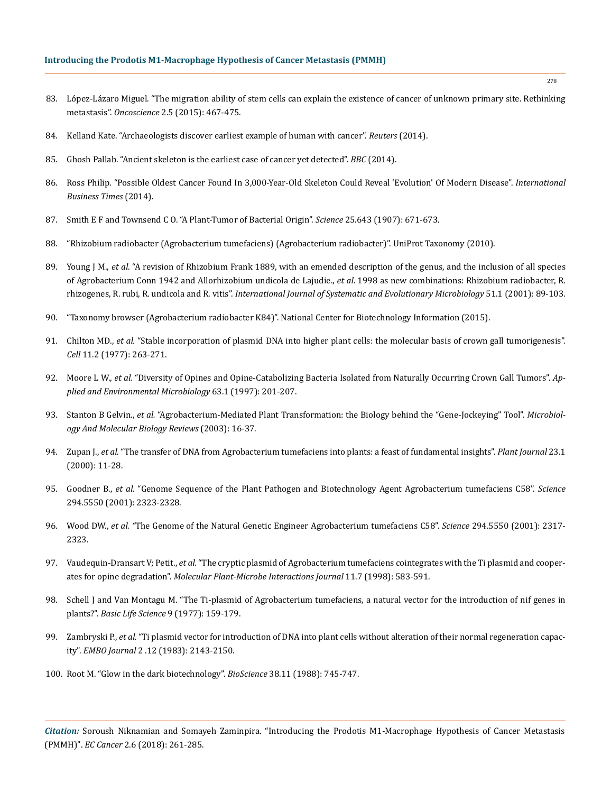- 83. [López-Lázaro Miguel. "The migration ability of stem cells can explain the existence of cancer of unknown primary site. Rethinking](file:///E:/Mamatha/JAN-13/ECCA-17-RA-046/The%20migration%20ability%20of%20stem%20cells%20can%20explain%20the%20existence%20of%20cancer%20of%20unknown%20primary%20site.%20Rethinking%20metastasis)  metastasis". *Oncoscience* [2.5 \(2015\): 467-475.](file:///E:/Mamatha/JAN-13/ECCA-17-RA-046/The%20migration%20ability%20of%20stem%20cells%20can%20explain%20the%20existence%20of%20cancer%20of%20unknown%20primary%20site.%20Rethinking%20metastasis)
- 84. [Kelland Kate. "Archaeologists discover earliest example of human with cancer".](https://www.reuters.com/article/us-cancer-ancient/archaeologists-discover-earliest-example-of-human-with-cancer-idUSBREA2G1BL20140317) *Reuters* (2014).
- 85. [Ghosh Pallab. "Ancient skeleton is the earliest case of cancer yet detected".](http://www.bbc.com/news/science-environment-26627941) *BBC* (2014).
- 86. [Ross Philip. "Possible Oldest Cancer Found In 3,000-Year-Old Skeleton Could Reveal 'Evolution' Of Modern Disease".](http://www.ibtimes.com/possible-oldest-cancer-found-3000-year-old-skeleton-could-reveal-evolution-modern-disease-1561953) *International [Business Times](http://www.ibtimes.com/possible-oldest-cancer-found-3000-year-old-skeleton-could-reveal-evolution-modern-disease-1561953)* (2014).
- 87. [Smith E F and Townsend C O. "A Plant-Tumor of Bacterial Origin".](https://www.ncbi.nlm.nih.gov/pubmed/17746161) *Science* 25.643 (1907): 671-673.
- 88. "Rhizobium radiobacter (Agrobacterium tumefaciens) (Agrobacterium radiobacter)". UniProt Taxonomy (2010).
- 89. Young J M., *et al*[. "A revision of Rhizobium Frank 1889, with an emended description of the genus, and the inclusion of all species](https://www.ncbi.nlm.nih.gov/pubmed/11211278)  [of Agrobacterium Conn 1942 and Allorhizobium undicola de Lajudie.,](https://www.ncbi.nlm.nih.gov/pubmed/11211278) *et al*. 1998 as new combinations: Rhizobium radiobacter, R. rhizogenes, R. rubi, R. undicola and R. vitis". *[International Journal of Systematic and Evolutionary Microbiology](https://www.ncbi.nlm.nih.gov/pubmed/11211278)* 51.1 (2001): 89-103.
- 90. "Taxonomy browser (Agrobacterium radiobacter K84)". National Center for Biotechnology Information (2015).
- 91. Chilton MD., *et al.* ["Stable incorporation of plasmid DNA into higher plant cells: the molecular basis of crown gall tumorigenesis".](file:///E:/Mamatha/JAN-13/ECCA-17-RA-046/Stable%20incorporation%20of%20plasmid%20DNA%20into%20higher%20plant%20cells:%20the%20molecular%20basis%20of%20crown%20gall%20tumorigenesis)  *Cell* [11.2 \(1977\): 263-271.](file:///E:/Mamatha/JAN-13/ECCA-17-RA-046/Stable%20incorporation%20of%20plasmid%20DNA%20into%20higher%20plant%20cells:%20the%20molecular%20basis%20of%20crown%20gall%20tumorigenesis)
- 92. Moore L W., *et al.* ["Diversity of Opines and Opine-Catabolizing Bacteria Isolated from Naturally Occurring Crown Gall Tumors".](https://www.ncbi.nlm.nih.gov/pmc/articles/PMC1389099/) *Ap[plied and Environmental Microbiology](https://www.ncbi.nlm.nih.gov/pmc/articles/PMC1389099/)* 63.1 (1997): 201-207.
- 93. Stanton B Gelvin., *et al.* ["Agrobacterium-Mediated Plant Transformation: the Biology behind the "Gene-Jockeying" Tool".](http://mmbr.asm.org/content/67/1/16.full.pdf+html) *Microbiol[ogy And Molecular Biology Reviews](http://mmbr.asm.org/content/67/1/16.full.pdf+html)* (2003): 16-37.
- 94. Zupan J., *et al.* ["The transfer of DNA from Agrobacterium tumefaciens into plants: a feast of fundamental insights".](https://www.ncbi.nlm.nih.gov/pubmed/10929098) *Plant Journal* 23.1 [\(2000\): 11-28.](https://www.ncbi.nlm.nih.gov/pubmed/10929098)
- 95. Goodner B., *et al.* ["Genome Sequence of the Plant Pathogen and Biotechnology Agent Agrobacterium tumefaciens C58".](https://www.ncbi.nlm.nih.gov/pubmed/11743194) *Science* [294.5550 \(2001\): 2323-2328.](https://www.ncbi.nlm.nih.gov/pubmed/11743194)
- 96. Wood DW., *et al. "*[The Genome of the Natural Genetic Engineer Agrobacterium tumefaciens C58".](https://www.ncbi.nlm.nih.gov/pubmed/11743193) *Science* 294.5550 (2001): 2317- [2323.](https://www.ncbi.nlm.nih.gov/pubmed/11743193)
- 97. Vaudequin-Dransart V; Petit., *et al.* ["The cryptic plasmid of Agrobacterium tumefaciens cointegrates with the Ti plasmid and cooper](http://www.apsnet.org/publications/mpmi/1998/July/Pages/11_7_583.aspx)ates for opine degradation". *[Molecular Plant-Microbe Interactions Journal](http://www.apsnet.org/publications/mpmi/1998/July/Pages/11_7_583.aspx)* 11.7 (1998): 583-591.
- 98. [Schell J and Van Montagu M. "The Ti-plasmid of Agrobacterium tumefaciens, a natural vector for the introduction of nif genes in](https://link.springer.com/chapter/10.1007/978-1-4684-0880-5_12)  plants?". *[Basic Life Science](https://link.springer.com/chapter/10.1007/978-1-4684-0880-5_12)* 9 (1977): 159-179.
- 99. Zambryski P., *et al.* ["Ti plasmid vector for introduction of DNA into plant cells without alteration of their normal regeneration capac](https://www.ncbi.nlm.nih.gov/pmc/articles/PMC555426/)ity". *EMBO Journal* [2 .12 \(1983\): 2143-2150.](https://www.ncbi.nlm.nih.gov/pmc/articles/PMC555426/)
- 100. [Root M. "Glow in the dark biotechnology".](https://www.jstor.org/stable/1310781) *BioScience* 38.11 (1988): 745-747.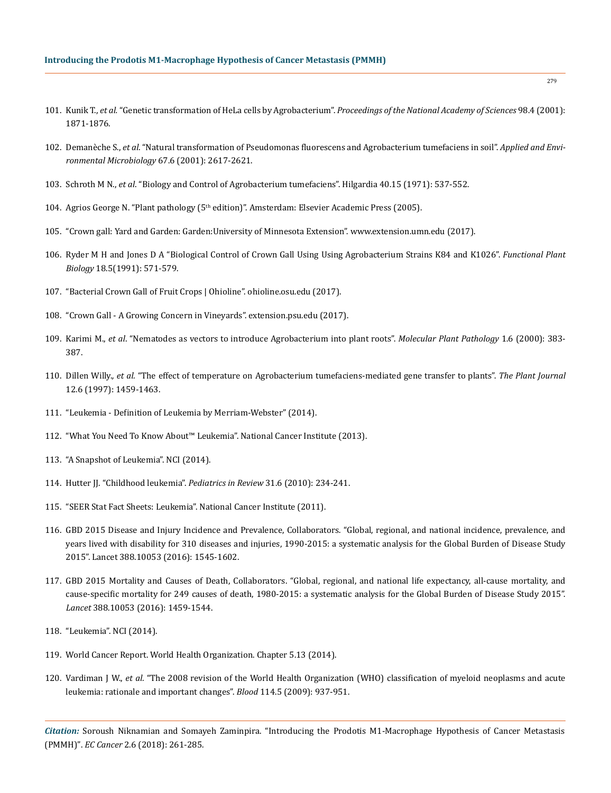- 101. Kunik T., *et al.* ["Genetic transformation of HeLa cells by Agrobacterium".](http://www.pnas.org/content/98/4/1871.abstract) *Proceedings of the National Academy of Sciences* 98.4 (2001): [1871-1876.](http://www.pnas.org/content/98/4/1871.abstract)
- 102. Demanèche S., *et al*[. "Natural transformation of Pseudomonas fluorescens and Agrobacterium tumefaciens in soil".](https://www.ncbi.nlm.nih.gov/pmc/articles/PMC92915/) *Applied and Envi[ronmental Microbiology](https://www.ncbi.nlm.nih.gov/pmc/articles/PMC92915/)* 67.6 (2001): 2617-2621.
- 103. Schroth M N., *et al*[. "Biology and Control of Agrobacterium tumefaciens". Hilgardia 40.15 \(1971\): 537-552.](http://hilgardia.ucanr.edu/Abstract/?a=hilg.v40n15p537)
- 104. Agrios George N. "Plant pathology (5th edition)". Amsterdam: Elsevier Academic Press (2005).
- 105. "Crown gall: Yard and Garden: Garden:University of Minnesota Extension". www.extension.umn.edu (2017).
- 106. [Ryder M H and Jones D A "Biological Control of Crown Gall Using Using Agrobacterium Strains K84 and K1026".](http://www.publish.csiro.au/fp/pdf/PP9910571) *Functional Plant Biology* [18.5\(1991\): 571-579.](http://www.publish.csiro.au/fp/pdf/PP9910571)
- 107. "Bacterial Crown Gall of Fruit Crops | Ohioline". ohioline.osu.edu (2017).
- 108. "Crown Gall A Growing Concern in Vineyards". extension.psu.edu (2017).
- 109. Karimi M., *et al*[. "Nematodes as vectors to introduce Agrobacterium into plant roots".](https://www.ncbi.nlm.nih.gov/pubmed/20572986) *Molecular Plant Pathology* 1.6 (2000): 383- [387.](https://www.ncbi.nlm.nih.gov/pubmed/20572986)
- 110. Dillen Willy.*, et al.* ["The effect of temperature on Agrobacterium tumefaciens-mediated gene transfer to plants".](http://onlinelibrary.wiley.com/doi/10.1046/j.1365-313x.1997.12061459.x/abstract) *The Plant Journal*  [12.6 \(1997\): 1459-1463.](http://onlinelibrary.wiley.com/doi/10.1046/j.1365-313x.1997.12061459.x/abstract)
- 111. "Leukemia Definition of Leukemia by Merriam-Webster" (2014).
- 112. "What You Need To Know About™ Leukemia". National Cancer Institute (2013).
- 113. "A Snapshot of Leukemia". NCI (2014).
- 114. [Hutter JJ. "Childhood leukemia".](https://www.ncbi.nlm.nih.gov/pubmed/20516235) *Pediatrics in Review* 31.6 (2010): 234-241.
- 115. "SEER Stat Fact Sheets: Leukemia". National Cancer Institute (2011).
- 116. [GBD 2015 Disease and Injury Incidence and Prevalence, Collaborators. "Global, regional, and national incidence, prevalence, and](https://www.ncbi.nlm.nih.gov/pubmed/27733282)  [years lived with disability for 310 diseases and injuries, 1990-2015: a systematic analysis for the Global Burden of Disease Study](https://www.ncbi.nlm.nih.gov/pubmed/27733282)  [2015". Lancet 388.10053 \(2016\): 1545-1602.](https://www.ncbi.nlm.nih.gov/pubmed/27733282)
- 117. [GBD 2015 Mortality and Causes of Death, Collaborators. "Global, regional, and national life expectancy, all-cause mortality, and](https://www.ncbi.nlm.nih.gov/pubmed/27733281)  [cause-specific mortality for 249 causes of death, 1980-2015: a systematic analysis for the Global Burden of Disease Study 2015".](https://www.ncbi.nlm.nih.gov/pubmed/27733281) *Lancet* [388.10053 \(2016\): 1459-1544.](https://www.ncbi.nlm.nih.gov/pubmed/27733281)
- 118. "Leukemia". NCI (2014).
- 119. World Cancer Report. World Health Organization. Chapter 5.13 (2014).
- 120. Vardiman J W., *et al.* ["The 2008 revision of the World Health Organization \(WHO\) classification of myeloid neoplasms and acute](https://www.ncbi.nlm.nih.gov/pubmed/19357394)  [leukemia: rationale and important changes".](https://www.ncbi.nlm.nih.gov/pubmed/19357394) *Blood* 114.5 (2009): 937-951.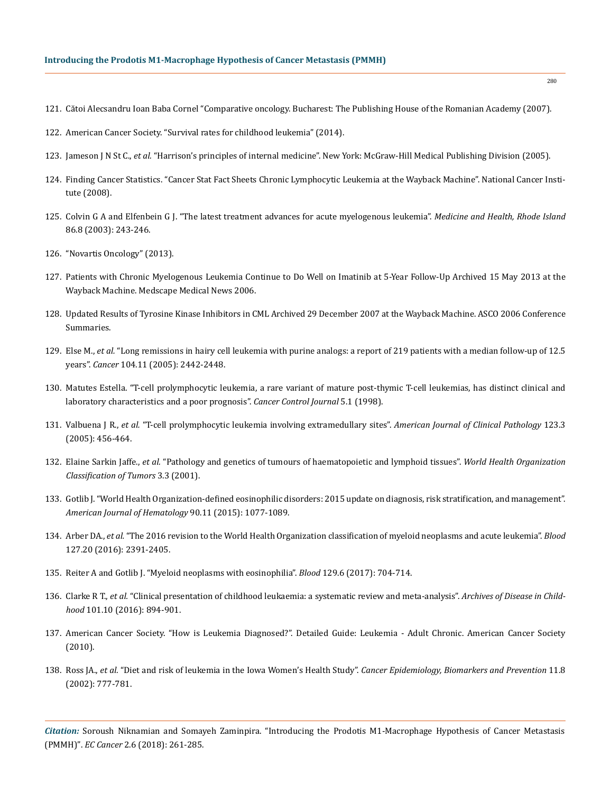- 121. Cătoi Alecsandru Ioan Baba Cornel "Comparative oncology. Bucharest: The Publishing House of the Romanian Academy (2007).
- 122. American Cancer Society. "Survival rates for childhood leukemia" (2014).
- 123. Jameson J N St C., *et al.* ["Harrison's principles of internal medicine". New York: McGraw-Hill Medical Publishing Division \(2005\).](http://www.worldcat.org/title/harrisons-principles-of-internal-medicine/oclc/54501403)
- 124. Finding Cancer Statistics. "Cancer Stat Fact Sheets Chronic Lymphocytic Leukemia at the Wayback Machine". National Cancer Institute (2008).
- 125. [Colvin G A and Elfenbein G J. "The latest treatment advances for acute myelogenous leukemia".](https://www.ncbi.nlm.nih.gov/pubmed/14582219) *Medicine and Health, Rhode Island* [86.8 \(2003\): 243-246.](https://www.ncbi.nlm.nih.gov/pubmed/14582219)
- 126. "Novartis Oncology" (2013).
- 127. Patients with Chronic Myelogenous Leukemia Continue to Do Well on Imatinib at 5-Year Follow-Up Archived 15 May 2013 at the Wayback Machine. Medscape Medical News 2006.
- 128. Updated Results of Tyrosine Kinase Inhibitors in CML Archived 29 December 2007 at the Wayback Machine. ASCO 2006 Conference Summaries.
- 129. Else M., *et al.* ["Long remissions in hairy cell leukemia with purine analogs: a report of 219 patients with a median follow-up of 12.5](https://www.ncbi.nlm.nih.gov/pubmed/16245328)  years". *Cancer* [104.11 \(2005\): 2442-2448.](https://www.ncbi.nlm.nih.gov/pubmed/16245328)
- 130. [Matutes Estella. "T-cell prolymphocytic leukemia, a rare variant of mature post-thymic T-cell leukemias, has distinct clinical and](https://www.moffitt.org/File%20Library/Main%20Nav/Research%20and%20Clinical%20Trials/Cancer%20Control%20Journal/v5n1/article2.pdf)  [laboratory characteristics and a poor prognosis".](https://www.moffitt.org/File%20Library/Main%20Nav/Research%20and%20Clinical%20Trials/Cancer%20Control%20Journal/v5n1/article2.pdf) *Cancer Control Journal* 5.1 (1998).
- 131. Valbuena J R., *et al.* ["T-cell prolymphocytic leukemia involving extramedullary sites".](https://www.ncbi.nlm.nih.gov/pubmed/15716243) *American Journal of Clinical Pathology* 123.3 [\(2005\): 456-464.](https://www.ncbi.nlm.nih.gov/pubmed/15716243)
- 132. Elaine Sarkin Jaffe., *et al.* ["Pathology and genetics of tumours of haematopoietic and lymphoid tissues".](http://apps.who.int/bookorders/anglais/detart1.jsp?codlan=1&codcol=70&codcch=3) *World Health Organization [Classification of Tumors](http://apps.who.int/bookorders/anglais/detart1.jsp?codlan=1&codcol=70&codcch=3)* 3.3 (2001).
- 133. [Gotlib J. "World Health Organization-defined eosinophilic disorders: 2015 update on diagnosis, risk stratification, and management".](https://www.ncbi.nlm.nih.gov/pubmed/26486351)  *[American Journal of Hematology](https://www.ncbi.nlm.nih.gov/pubmed/26486351)* 90.11 (2015): 1077-1089.
- 134. Arber DA., *et al.* ["The 2016 revision to the World Health Organization classification of myeloid neoplasms and acute leukemia".](http://www.bloodjournal.org/content/127/20/2391?sso-checked=true) *Blood* [127.20 \(2016\): 2391-2405.](http://www.bloodjournal.org/content/127/20/2391?sso-checked=true)
- 135. [Reiter A and Gotlib J. "Myeloid neoplasms with eosinophilia".](http://www.bloodjournal.org/content/129/6/704) *Blood* 129.6 (2017): 704-714.
- 136. Clarke R T., *et al.* ["Clinical presentation of childhood leukaemia: a systematic review and meta-analysis".](https://www.ncbi.nlm.nih.gov/pubmed/27647842) *Archives of Disease in Childhood* [101.10 \(2016\): 894-901.](https://www.ncbi.nlm.nih.gov/pubmed/27647842)
- 137. American Cancer Society. "How is Leukemia Diagnosed?". Detailed Guide: Leukemia Adult Chronic. American Cancer Society (2010).
- 138. Ross JA., *et al.* ["Diet and risk of leukemia in the Iowa Women's Health Study".](https://www.ncbi.nlm.nih.gov/pubmed/12163333) *Cancer Epidemiology, Biomarkers and Prevention* 11.8 [\(2002\): 777-781.](https://www.ncbi.nlm.nih.gov/pubmed/12163333)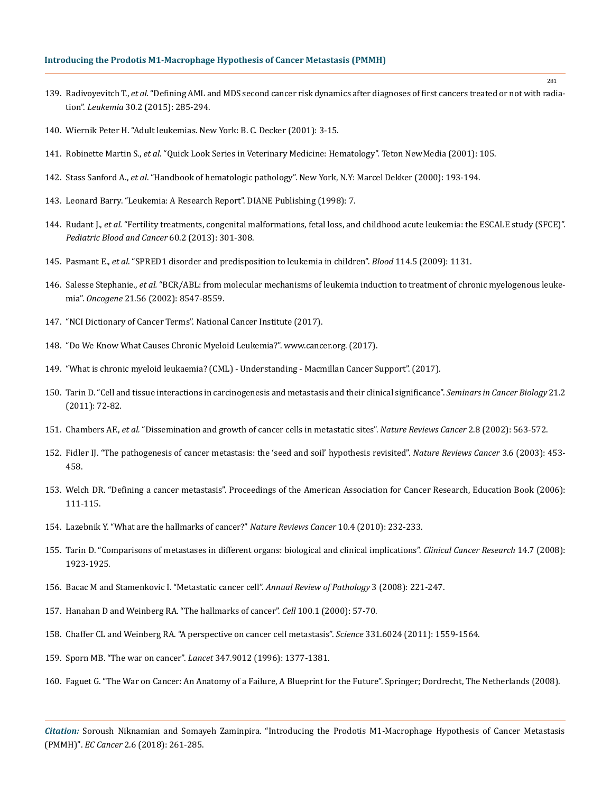### **Introducing the Prodotis M1-Macrophage Hypothesis of Cancer Metastasis (PMMH)**

- 139. Radivoyevitch T., *et al.* ["Defining AML and MDS second cancer risk dynamics after diagnoses of first cancers treated or not with radia](https://www.ncbi.nlm.nih.gov/pubmed/26460209)tion". *Leukemia* [30.2 \(2015\): 285-294.](https://www.ncbi.nlm.nih.gov/pubmed/26460209)
- 140. Wiernik Peter H. "Adult leukemias. New York: B. C. Decker (2001): 3-15.
- 141. Robinette Martin S., *et al*. "Quick Look Series in Veterinary Medicine: Hematology". Teton NewMedia (2001): 105.
- 142. Stass Sanford A., *et al*. "Handbook of hematologic pathology". New York, N.Y: Marcel Dekker (2000): 193-194.
- 143. Leonard Barry. "Leukemia: A Research Report". DIANE Publishing (1998): 7.
- 144. Rudant J., *et al.* ["Fertility treatments, congenital malformations, fetal loss, and childhood acute leukemia: the ESCALE study \(SFCE\)".](https://www.ncbi.nlm.nih.gov/pubmed/22610722)  *[Pediatric Blood and Cancer](https://www.ncbi.nlm.nih.gov/pubmed/22610722)* 60.2 (2013): 301-308.
- 145. Pasmant E., *et al*[. "SPRED1 disorder and predisposition to leukemia in children".](https://www.ncbi.nlm.nih.gov/pubmed/19643996) *Blood* 114.5 (2009): 1131.
- 146. Salesse Stephanie., *et al.* ["BCR/ABL: from molecular mechanisms of leukemia induction to treatment of chronic myelogenous leuke](https://www.ncbi.nlm.nih.gov/pubmed/12476301)mia". *Oncogene* [21.56 \(2002\): 8547-8559.](https://www.ncbi.nlm.nih.gov/pubmed/12476301)
- 147. "NCI Dictionary of Cancer Terms". National Cancer Institute (2017).
- 148. "Do We Know What Causes Chronic Myeloid Leukemia?". www.cancer.org. (2017).
- 149. ["What is chronic myeloid leukaemia? \(CML\) Understanding Macmillan Cancer Support". \(2017\).](http://www.macmillan.org.uk)
- 150. [Tarin D. "Cell and tissue interactions in carcinogenesis and metastasis and their clinical significance".](https://www.ncbi.nlm.nih.gov/pubmed/21147229) *Seminars in Cancer Biology* 21.2 [\(2011\): 72-82](https://www.ncbi.nlm.nih.gov/pubmed/21147229)*.*
- 151. Chambers AF., *et al.* ["Dissemination and growth of cancer cells in metastatic sites".](https://www.ncbi.nlm.nih.gov/pubmed/12154349) *Nature Reviews Cancer* 2.8 (2002): 563-572.
- 152. [Fidler IJ. "The pathogenesis of cancer metastasis: the 'seed and soil' hypothesis revisited".](https://www.ncbi.nlm.nih.gov/pubmed/12778135) *Nature Reviews Cancer* 3.6 (2003): 453- [458.](https://www.ncbi.nlm.nih.gov/pubmed/12778135)
- 153. Welch DR. "Defining a cancer metastasis". Proceedings of the American Association for Cancer Research, Education Book (2006): 111-115.
- 154. [Lazebnik Y. "What are the hallmarks of cancer?"](https://www.nature.com/articles/nrc2827) *Nature Reviews Cancer* 10.4 (2010): 232-233.
- 155. [Tarin D. "Comparisons of metastases in different organs: biological and clinical implications".](https://www.ncbi.nlm.nih.gov/pubmed/18381928) *Clinical Cancer Research* 14.7 (2008): [1923-1925.](https://www.ncbi.nlm.nih.gov/pubmed/18381928)
- 156. [Bacac M and Stamenkovic I. "Metastatic cancer cell".](https://www.ncbi.nlm.nih.gov/pubmed/18233952) *Annual Review of Pathology* 3 (2008): 221-247.
- 157. [Hanahan D and Weinberg RA. "The hallmarks of cancer".](https://www.ncbi.nlm.nih.gov/pubmed/10647931) *Cell* 100.1 (2000): 57-70.
- 158. [Chaffer CL and Weinberg RA. "A perspective on cancer cell metastasis".](https://www.ncbi.nlm.nih.gov/pubmed/21436443) *Science* 331.6024 (2011): 1559-1564.
- 159. [Sporn MB. "The war on cancer".](https://www.ncbi.nlm.nih.gov/pubmed/8637346) *Lancet* 347.9012 (1996): 1377-1381.
- 160. Faguet G. "The War on Cancer: An Anatomy of a Failure, A Blueprint for the Future". Springer; Dordrecht, The Netherlands (2008).

*Citation:* Soroush Niknamian and Somayeh Zaminpira. "Introducing the Prodotis M1-Macrophage Hypothesis of Cancer Metastasis (PMMH)". *EC Cancer* 2.6 (2018): 261-285.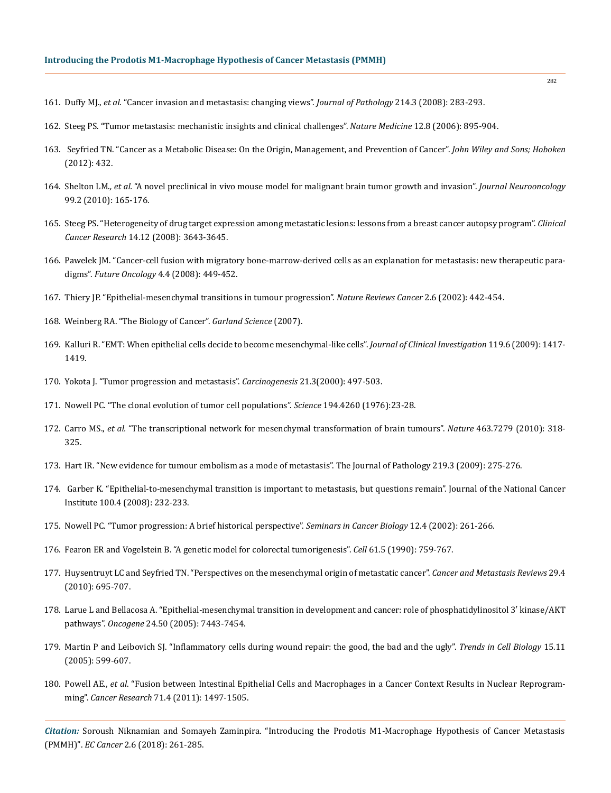- 161. Duffy MJ., *et al*[. "Cancer invasion and metastasis: changing views".](https://www.ncbi.nlm.nih.gov/pubmed/18095256) *Journal of Pathology* 214.3 (2008): 283-293.
- 162. [Steeg PS. "Tumor metastasis: mechanistic insights and clinical challenges".](https://www.ncbi.nlm.nih.gov/pubmed/16892035) *Nature Medicine* 12.8 (2006): 895-904.
- 163. [Seyfried TN. "Cancer as a Metabolic Disease: On the Origin, Management, and Prevention of Cancer".](http://onlinelibrary.wiley.com/book/10.1002/9781118310311) *John Wiley and Sons; Hoboken* [\(2012\): 432.](http://onlinelibrary.wiley.com/book/10.1002/9781118310311)
- 164. Shelton LM.*, et al.* ["A novel preclinical in vivo mouse model for malignant brain tumor growth and invasion".](https://www.ncbi.nlm.nih.gov/pubmed/20069342) *Journal Neurooncology* [99.2 \(2010\): 165-176.](https://www.ncbi.nlm.nih.gov/pubmed/20069342)
- 165. [Steeg PS. "Heterogeneity of drug target expression among metastatic lesions: lessons from a breast cancer autopsy program".](https://www.ncbi.nlm.nih.gov/pmc/articles/PMC2692037/) *Clinical Cancer Research* [14.12 \(2008\): 3643-3645.](https://www.ncbi.nlm.nih.gov/pmc/articles/PMC2692037/)
- 166. [Pawelek JM. "Cancer-cell fusion with migratory bone-marrow-derived cells as an explanation for metastasis: new therapeutic para](https://www.futuremedicine.com/doi/abs/10.2217/14796694.4.4.449)digms". *Future Oncology* [4.4 \(2008\): 449-452.](https://www.futuremedicine.com/doi/abs/10.2217/14796694.4.4.449)
- 167. [Thiery JP. "Epithelial-mesenchymal transitions in tumour progression".](https://www.ncbi.nlm.nih.gov/pubmed/12189386) *Nature Reviews Cancer* 2.6 (2002): 442-454.
- 168. [Weinberg RA. "The Biology of Cancer".](http://web.thu.edu.tw/cphu/www/cancer_biology/download/Ch_8_pRb_and_Control_of_the_Cell_Cycle_Clock.pdf) *Garland Science* (2007).
- 169. [Kalluri R. "EMT: When epithelial cells decide to become mesenchymal-like cells".](https://www.ncbi.nlm.nih.gov/pubmed/19487817) *Journal of Clinical Investigation* 119.6 (2009): 1417- [1419.](https://www.ncbi.nlm.nih.gov/pubmed/19487817)
- 170. [Yokota J. "Tumor progression and metastasis".](https://academic.oup.com/carcin/article/21/3/497/2365673) *Carcinogenesis* 21.3(2000): 497-503.
- 171. [Nowell PC. "The clonal evolution of tumor cell populations".](https://www.ncbi.nlm.nih.gov/pubmed/959840) *Science* 194.4260 (1976):23-28.
- 172. Carro MS., *et al.* ["The transcriptional network for mesenchymal transformation of brain tumours".](https://www.nature.com/articles/nature08712) *Nature* 463.7279 (2010): 318- [325.](https://www.nature.com/articles/nature08712)
- 173. [Hart IR. "New evidence for tumour embolism as a mode of metastasis". The Journal of Pathology 219.3 \(2009\): 275-276.](https://www.ncbi.nlm.nih.gov/pubmed/19768739)
- 174. [Garber K. "Epithelial-to-mesenchymal transition is important to metastasis, but questions remain". Journal of the National Cancer](https://www.ncbi.nlm.nih.gov/pubmed/18270330)  [Institute 100.4 \(2008\): 232-233.](https://www.ncbi.nlm.nih.gov/pubmed/18270330)
- 175. [Nowell PC. "Tumor progression: A brief historical perspective".](https://www.ncbi.nlm.nih.gov/pubmed/12147207) *Seminars in Cancer Biology* 12.4 (2002): 261-266.
- 176. [Fearon ER and Vogelstein B. "A genetic model for colorectal tumorigenesis".](https://www.ncbi.nlm.nih.gov/pubmed/2188735) *Cell* 61.5 (1990): 759-767.
- 177. [Huysentruyt LC and Seyfried TN. "Perspectives on the mesenchymal origin of metastatic cancer".](https://www.ncbi.nlm.nih.gov/pubmed/20839033) *Cancer and Metastasis Reviews* 29.4 [\(2010\): 695-707.](https://www.ncbi.nlm.nih.gov/pubmed/20839033)
- 178. [Larue L and Bellacosa A. "Epithelial-mesenchymal transition in development and cancer: role of phosphatidylinositol 3′ kinase/AKT](https://www.ncbi.nlm.nih.gov/pubmed/16288291)  pathways". *Oncogene* [24.50 \(2005\): 7443-7454.](https://www.ncbi.nlm.nih.gov/pubmed/16288291)
- 179. [Martin P and Leibovich SJ. "Inflammatory cells during wound repair: the good, the bad and the ugly".](https://www.ncbi.nlm.nih.gov/pubmed/16202600) *Trends in Cell Biology* 15.11 [\(2005\): 599-607.](https://www.ncbi.nlm.nih.gov/pubmed/16202600)
- 180. Powell AE., *et al*[. "Fusion between Intestinal Epithelial Cells and Macrophages in a Cancer Context Results in Nuclear Reprogram](https://www.ncbi.nlm.nih.gov/pubmed/21303980)ming". *Cancer Research* [71.4 \(2011\): 1497-1505.](https://www.ncbi.nlm.nih.gov/pubmed/21303980)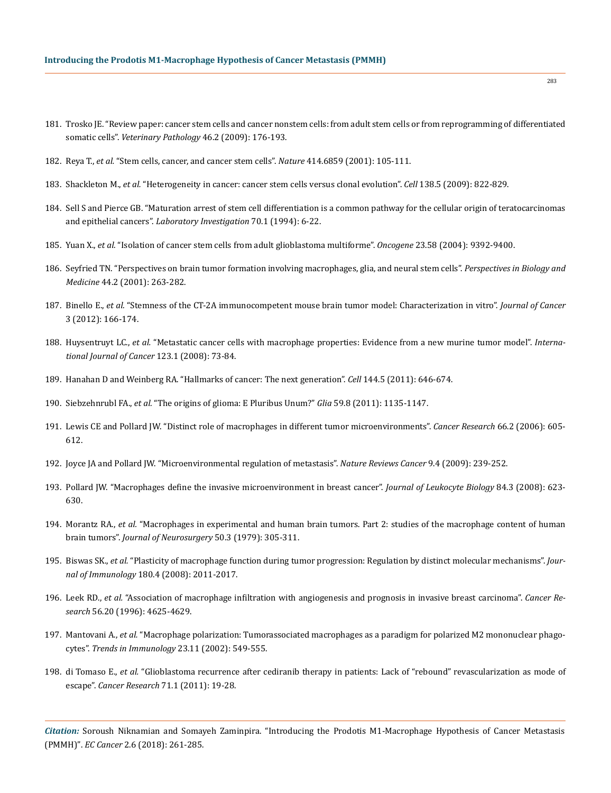- 181. [Trosko JE. "Review paper: cancer stem cells and cancer nonstem cells: from adult stem cells or from reprogramming of differentiated](https://www.ncbi.nlm.nih.gov/pubmed/19261629)  somatic cells". *[Veterinary Pathology](https://www.ncbi.nlm.nih.gov/pubmed/19261629)* 46.2 (2009): 176-193.
- 182. Reya T., *et al.* ["Stem cells, cancer, and cancer stem cells".](https://www.ncbi.nlm.nih.gov/pubmed/11689955) *Nature* 414.6859 (2001): 105-111.
- 183. Shackleton M., *et al.* ["Heterogeneity in cancer: cancer stem cells versus clonal evolution".](http://www.cell.com/cell/fulltext/S0092-8674(09)01030-7) *Cell* 138.5 (2009): 822-829.
- 184. [Sell S and Pierce GB. "Maturation arrest of stem cell differentiation is a common pathway for the cellular origin of teratocarcinomas](https://www.ncbi.nlm.nih.gov/pubmed/8302019)  and epithelial cancers". *[Laboratory Investigation](https://www.ncbi.nlm.nih.gov/pubmed/8302019)* 70.1 (1994): 6-22.
- 185. Yuan X., *et al.* ["Isolation of cancer stem cells from adult glioblastoma multiforme".](https://www.ncbi.nlm.nih.gov/pubmed/15558011) *Oncogene* 23.58 (2004): 9392-9400.
- 186. [Seyfried TN. "Perspectives on brain tumor formation involving macrophages, glia, and neural stem cells".](https://www.ncbi.nlm.nih.gov/pubmed/11370160) *Perspectives in Biology and Medicine* [44.2 \(2001\): 263-282.](https://www.ncbi.nlm.nih.gov/pubmed/11370160)
- 187. Binello E., *et al.* ["Stemness of the CT-2A immunocompetent mouse brain tumor model: Characterization in vitro".](http://www.jcancer.org/v03p0166.htm) *Journal of Cancer* [3 \(2012\): 166-174.](http://www.jcancer.org/v03p0166.htm)
- 188. Huysentruyt LC., *et al.* ["Metastatic cancer cells with macrophage properties: Evidence from a new murine tumor model".](https://www.ncbi.nlm.nih.gov/pubmed/18398829) *Interna[tional Journal of Cancer](https://www.ncbi.nlm.nih.gov/pubmed/18398829)* 123.1 (2008): 73-84.
- 189. [Hanahan D and Weinberg RA. "Hallmarks of cancer: The next generation".](https://www.ncbi.nlm.nih.gov/pubmed/21376230) *Cell* 144.5 (2011): 646-674.
- 190. Siebzehnrubl FA., *et al.* ["The origins of glioma: E Pluribus Unum?"](https://www.ncbi.nlm.nih.gov/pubmed/21351156) *Glia* 59.8 (2011): 1135-1147.
- 191. [Lewis CE and Pollard JW. "Distinct role of macrophages in different tumor microenvironments".](https://www.ncbi.nlm.nih.gov/pubmed/16423985) *Cancer Research* 66.2 (2006): 605- [612.](https://www.ncbi.nlm.nih.gov/pubmed/16423985)
- 192. [Joyce JA and Pollard JW. "Microenvironmental regulation of metastasis".](https://www.ncbi.nlm.nih.gov/pubmed/19279573) *Nature Reviews Cancer* 9.4 (2009): 239-252.
- 193. [Pollard JW. "Macrophages define the invasive microenvironment in breast cancer".](https://www.ncbi.nlm.nih.gov/pubmed/18467655) *Journal of Leukocyte Biology* 84.3 (2008): 623- [630.](https://www.ncbi.nlm.nih.gov/pubmed/18467655)
- 194. Morantz RA., *et al.* ["Macrophages in experimental and human brain tumors. Part 2: studies of the macrophage content of human](https://www.ncbi.nlm.nih.gov/pubmed/422981)  brain tumors". *[Journal of Neurosurgery](https://www.ncbi.nlm.nih.gov/pubmed/422981)* 50.3 (1979): 305-311.
- 195. Biswas SK., *et al.* ["Plasticity of macrophage function during tumor progression: Regulation by distinct molecular mechanisms".](https://www.ncbi.nlm.nih.gov/pubmed/18250403) *Journal of Immunology* [180.4 \(2008\): 2011-2017.](https://www.ncbi.nlm.nih.gov/pubmed/18250403)
- 196. Leek RD., *et al.* ["Association of macrophage infiltration with angiogenesis and prognosis in invasive breast carcinoma".](https://www.ncbi.nlm.nih.gov/pubmed/8840975) *Cancer Research* [56.20 \(1996\): 4625-4629.](https://www.ncbi.nlm.nih.gov/pubmed/8840975)
- 197. Mantovani A., *et al.* ["Macrophage polarization: Tumorassociated macrophages as a paradigm for polarized M2 mononuclear phago](https://www.ncbi.nlm.nih.gov/pubmed/12401408)cytes". *[Trends in Immunology](https://www.ncbi.nlm.nih.gov/pubmed/12401408)* 23.11 (2002): 549-555.
- 198. di Tomaso E., *et al.* ["Glioblastoma recurrence after cediranib therapy in patients: Lack of "rebound" revascularization as mode of](https://www.ncbi.nlm.nih.gov/pubmed/21199795)  escape". *Cancer Research* [71.1 \(2011\): 19-28.](https://www.ncbi.nlm.nih.gov/pubmed/21199795)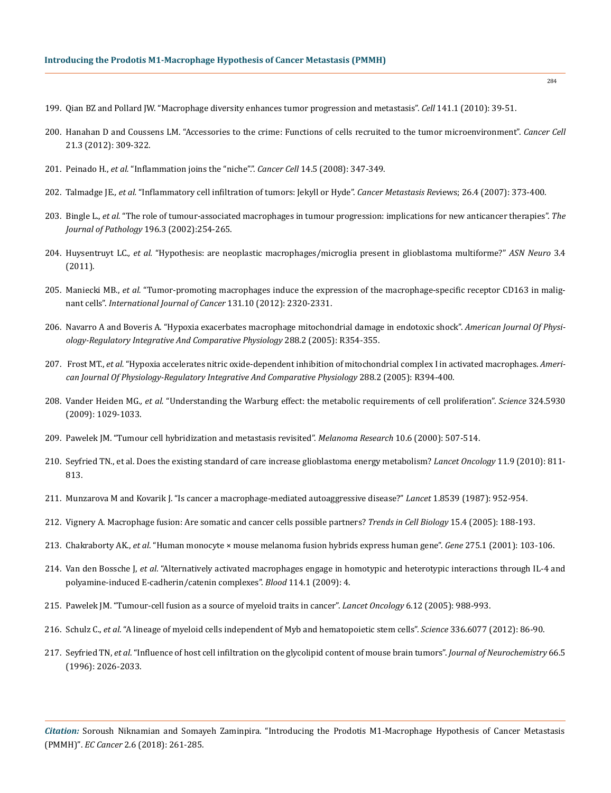- 199. [Qian BZ and Pollard JW. "Macrophage diversity enhances tumor progression and metastasis".](https://www.ncbi.nlm.nih.gov/pubmed/20371344) *Cell* 141.1 (2010): 39-51.
- 200. [Hanahan D and Coussens LM. "Accessories to the crime: Functions of cells recruited to the tumor microenvironment".](https://www.ncbi.nlm.nih.gov/pubmed/22439926) *Cancer Cell* [21.3 \(2012\): 309-322.](https://www.ncbi.nlm.nih.gov/pubmed/22439926)
- 201. Peinado H., *et al.* ["Inflammation joins the "niche".".](https://www.ncbi.nlm.nih.gov/pubmed/18977322) *Cancer Cell* 14.5 (2008): 347-349.
- 202. Talmadge JE.*, et al.* ["Inflammatory cell infiltration of tumors: Jekyll or Hyde".](https://www.ncbi.nlm.nih.gov/pubmed/17717638) *Cancer Metastasis Rev*iews; 26.4 (2007): 373-400.
- 203. Bingle L., *et al.* ["The role of tumour-associated macrophages in tumour progression: implications for new anticancer therapies".](https://www.ncbi.nlm.nih.gov/pubmed/11857487) *The [Journal of Pathology](https://www.ncbi.nlm.nih.gov/pubmed/11857487)* 196.3 (2002):254-265.
- 204. Huysentruyt LC.*, et al.* ["Hypothesis: are neoplastic macrophages/microglia present in glioblastoma multiforme?"](https://www.ncbi.nlm.nih.gov/pmc/articles/PMC3178415/) *ASN Neuro* 3.4 [\(2011\).](https://www.ncbi.nlm.nih.gov/pmc/articles/PMC3178415/)
- 205. Maniecki MB., *et al.* ["Tumor-promoting macrophages induce the expression of the macrophage-specific receptor CD163 in malig](https://www.ncbi.nlm.nih.gov/pubmed/22362417)nant cells". *[International Journal of Cancer](https://www.ncbi.nlm.nih.gov/pubmed/22362417)* 131.10 (2012): 2320-2331.
- 206. [Navarro A and Boveris A. "Hypoxia exacerbates macrophage mitochondrial damage in endotoxic shock".](https://www.ncbi.nlm.nih.gov/pubmed/15637172) *American Journal Of Physi[ology-Regulatory Integrative And Comparative Physiology](https://www.ncbi.nlm.nih.gov/pubmed/15637172)* 288.2 (2005): R354-355.
- 207. Frost MT., *et al.* ["Hypoxia accelerates nitric oxide-dependent inhibition of mitochondrial complex I in activated macrophages.](https://www.ncbi.nlm.nih.gov/pubmed/15486095) *Ameri[can Journal Of Physiology-Regulatory Integrative And Comparative Physiology](https://www.ncbi.nlm.nih.gov/pubmed/15486095)* 288.2 (2005): R394-400.
- 208. Vander Heiden MG*., et al.* ["Understanding the Warburg effect: the metabolic requirements of cell proliferation".](https://www.ncbi.nlm.nih.gov/pubmed/19460998) *Science* 324.5930 [\(2009\): 1029-1033.](https://www.ncbi.nlm.nih.gov/pubmed/19460998)
- 209. [Pawelek JM. "Tumour cell hybridization and metastasis revisited".](https://www.ncbi.nlm.nih.gov/pubmed/11198471) *Melanoma Research* 10.6 (2000): 507-514.
- 210. [Seyfried TN., et al. Does the existing standard of care increase glioblastoma energy metabolism?](https://www.ncbi.nlm.nih.gov/pubmed/20634134) *Lancet Oncology* 11.9 (2010): 811- [813.](https://www.ncbi.nlm.nih.gov/pubmed/20634134)
- 211. [Munzarova M and Kovarik J. "Is cancer a macrophage-mediated autoaggressive disease?"](https://www.ncbi.nlm.nih.gov/pubmed/2882343) *Lancet* 1.8539 (1987): 952-954.
- 212. [Vignery A. Macrophage fusion: Are somatic and cancer cells possible partners?](https://www.ncbi.nlm.nih.gov/pubmed/15817374) *Trends in Cell Biology* 15.4 (2005): 188-193.
- 213. Chakraborty AK., *et al*[. "Human monocyte × mouse melanoma fusion hybrids express human gene".](https://www.ncbi.nlm.nih.gov/pubmed/11574157) *Gene* 275.1 (2001): 103-106.
- 214. Van den Bossche J, *et al*[. "Alternatively activated macrophages engage in homotypic and heterotypic interactions through IL-4 and](https://www.ncbi.nlm.nih.gov/pubmed/19574480)  [polyamine-induced E-cadherin/catenin complexes".](https://www.ncbi.nlm.nih.gov/pubmed/19574480) *Blood* 114.1 (2009): 4.
- 215. [Pawelek JM. "Tumour-cell fusion as a source of myeloid traits in cancer".](https://www.ncbi.nlm.nih.gov/pubmed/16321767) *Lancet Oncology* 6.12 (2005): 988-993.
- 216. Schulz C., *et al*[. "A lineage of myeloid cells independent of Myb and hematopoietic stem cells".](https://www.ncbi.nlm.nih.gov/pubmed/2442384) *Science* 336.6077 (2012): 86-90.
- 217. Seyfried TN, *et al*[. "Influence of host cell infiltration on the glycolipid content of mouse brain tumors".](https://www.ncbi.nlm.nih.gov/pubmed/8780032) *Journal of Neurochemistry* 66.5 [\(1996\): 2026-2033.](https://www.ncbi.nlm.nih.gov/pubmed/8780032)